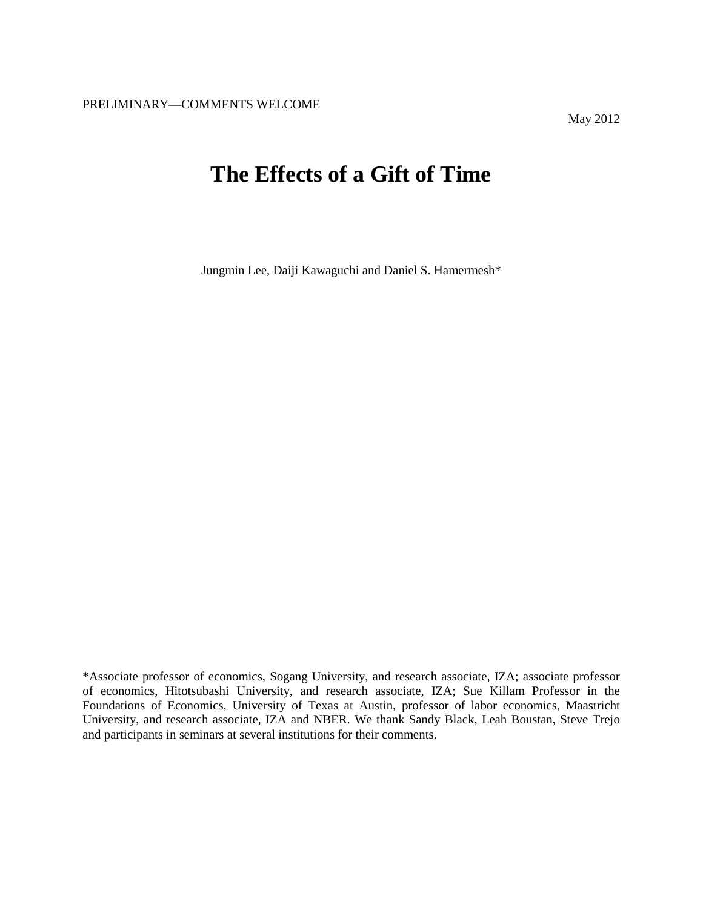# **The Effects of a Gift of Time**

Jungmin Lee, Daiji Kawaguchi and Daniel S. Hamermesh\*

<sup>\*</sup>Associate professor of economics, Sogang University, and research associate, IZA; associate professor of economics, Hitotsubashi University, and research associate, IZA; Sue Killam Professor in the Foundations of Economics, University of Texas at Austin, professor of labor economics, Maastricht University, and research associate, IZA and NBER. We thank Sandy Black, Leah Boustan, Steve Trejo and participants in seminars at several institutions for their comments.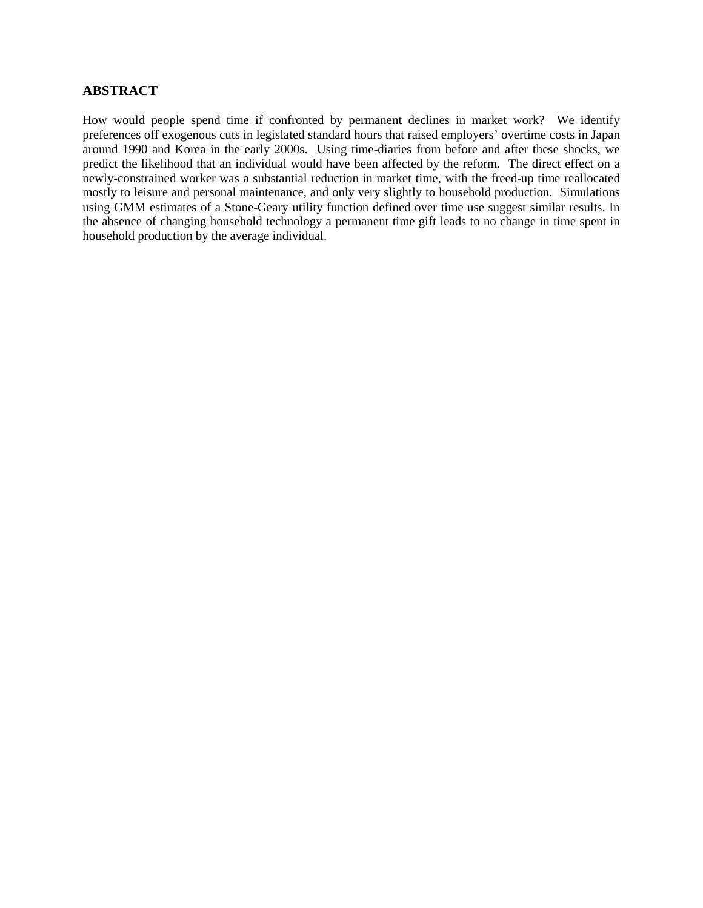# **ABSTRACT**

How would people spend time if confronted by permanent declines in market work? We identify preferences off exogenous cuts in legislated standard hours that raised employers' overtime costs in Japan around 1990 and Korea in the early 2000s. Using time-diaries from before and after these shocks, we predict the likelihood that an individual would have been affected by the reform. The direct effect on a newly-constrained worker was a substantial reduction in market time, with the freed-up time reallocated mostly to leisure and personal maintenance, and only very slightly to household production. Simulations using GMM estimates of a Stone-Geary utility function defined over time use suggest similar results. In the absence of changing household technology a permanent time gift leads to no change in time spent in household production by the average individual.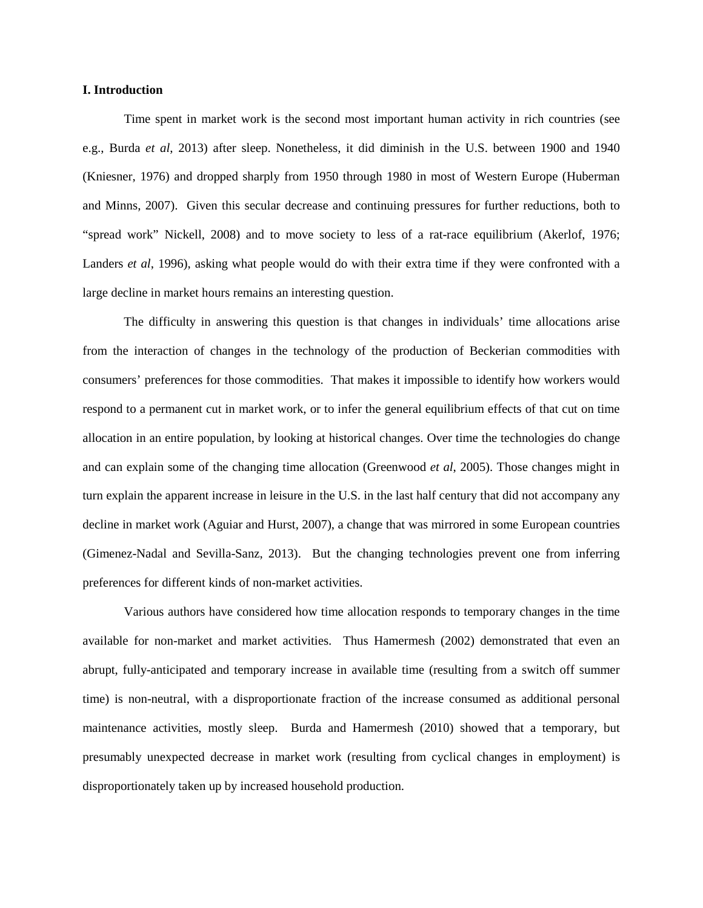#### **I. Introduction**

Time spent in market work is the second most important human activity in rich countries (see e.g., Burda *et al*, 2013) after sleep. Nonetheless, it did diminish in the U.S. between 1900 and 1940 (Kniesner, 1976) and dropped sharply from 1950 through 1980 in most of Western Europe (Huberman and Minns, 2007). Given this secular decrease and continuing pressures for further reductions, both to "spread work" Nickell, 2008) and to move society to less of a rat-race equilibrium (Akerlof, 1976; Landers *et al*, 1996), asking what people would do with their extra time if they were confronted with a large decline in market hours remains an interesting question.

The difficulty in answering this question is that changes in individuals' time allocations arise from the interaction of changes in the technology of the production of Beckerian commodities with consumers' preferences for those commodities. That makes it impossible to identify how workers would respond to a permanent cut in market work, or to infer the general equilibrium effects of that cut on time allocation in an entire population, by looking at historical changes. Over time the technologies do change and can explain some of the changing time allocation (Greenwood *et al*, 2005). Those changes might in turn explain the apparent increase in leisure in the U.S. in the last half century that did not accompany any decline in market work (Aguiar and Hurst, 2007), a change that was mirrored in some European countries (Gimenez-Nadal and Sevilla-Sanz, 2013). But the changing technologies prevent one from inferring preferences for different kinds of non-market activities.

Various authors have considered how time allocation responds to temporary changes in the time available for non-market and market activities. Thus Hamermesh (2002) demonstrated that even an abrupt, fully-anticipated and temporary increase in available time (resulting from a switch off summer time) is non-neutral, with a disproportionate fraction of the increase consumed as additional personal maintenance activities, mostly sleep. Burda and Hamermesh (2010) showed that a temporary, but presumably unexpected decrease in market work (resulting from cyclical changes in employment) is disproportionately taken up by increased household production.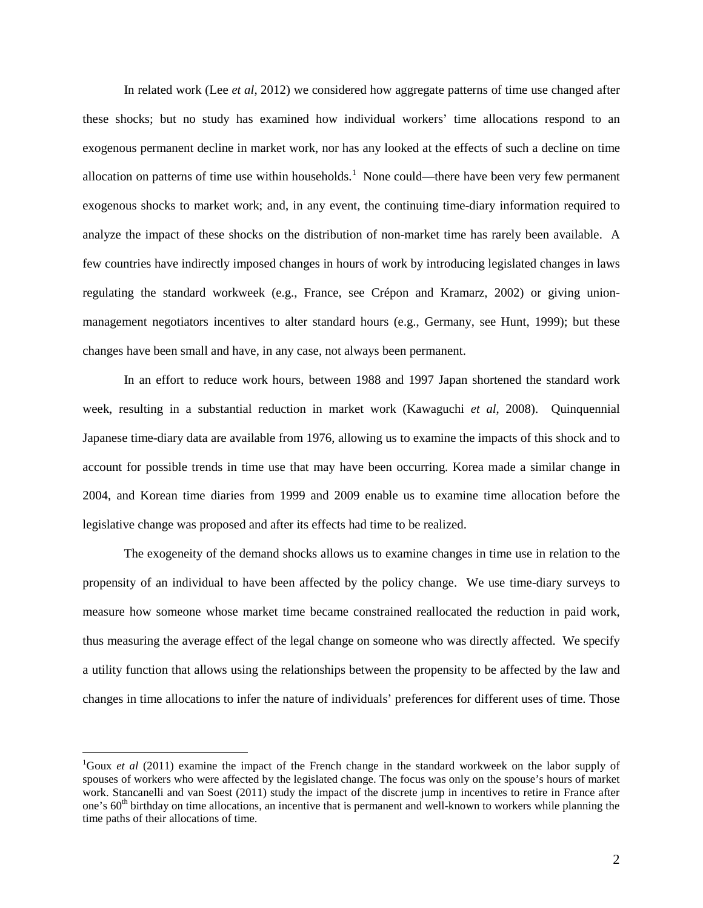In related work (Lee *et al*, 2012) we considered how aggregate patterns of time use changed after these shocks; but no study has examined how individual workers' time allocations respond to an exogenous permanent decline in market work, nor has any looked at the effects of such a decline on time allocation on patterns of time use within households.<sup>[1](#page-3-0)</sup> None could—there have been very few permanent exogenous shocks to market work; and, in any event, the continuing time-diary information required to analyze the impact of these shocks on the distribution of non-market time has rarely been available. A few countries have indirectly imposed changes in hours of work by introducing legislated changes in laws regulating the standard workweek (e.g., France, see Crépon and Kramarz, 2002) or giving unionmanagement negotiators incentives to alter standard hours (e.g., Germany, see Hunt, 1999); but these changes have been small and have, in any case, not always been permanent.

In an effort to reduce work hours, between 1988 and 1997 Japan shortened the standard work week, resulting in a substantial reduction in market work (Kawaguchi *et al*, 2008). Quinquennial Japanese time-diary data are available from 1976, allowing us to examine the impacts of this shock and to account for possible trends in time use that may have been occurring. Korea made a similar change in 2004, and Korean time diaries from 1999 and 2009 enable us to examine time allocation before the legislative change was proposed and after its effects had time to be realized.

The exogeneity of the demand shocks allows us to examine changes in time use in relation to the propensity of an individual to have been affected by the policy change. We use time-diary surveys to measure how someone whose market time became constrained reallocated the reduction in paid work, thus measuring the average effect of the legal change on someone who was directly affected. We specify a utility function that allows using the relationships between the propensity to be affected by the law and changes in time allocations to infer the nature of individuals' preferences for different uses of time. Those

<span id="page-3-0"></span> $\frac{1}{1}$ <sup>1</sup>Goux *et al* (2011) examine the impact of the French change in the standard workweek on the labor supply of spouses of workers who were affected by the legislated change. The focus was only on the spouse's hours of market work. Stancanelli and van Soest (2011) study the impact of the discrete jump in incentives to retire in France after one's  $60<sup>th</sup>$  birthday on time allocations, an incentive that is permanent and well-known to workers while planning the time paths of their allocations of time.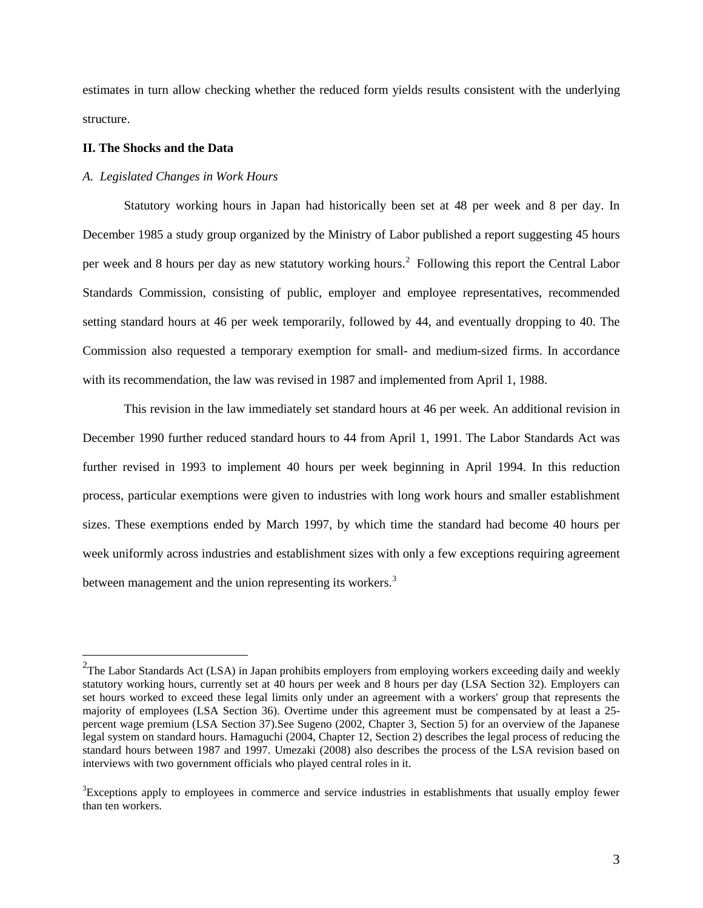estimates in turn allow checking whether the reduced form yields results consistent with the underlying structure.

#### **II. The Shocks and the Data**

### *A. Legislated Changes in Work Hours*

Statutory working hours in Japan had historically been set at 48 per week and 8 per day. In December 1985 a study group organized by the Ministry of Labor published a report suggesting 45 hours per week and 8 hours per day as new statutory working hours.<sup>[2](#page-4-0)</sup> Following this report the Central Labor Standards Commission, consisting of public, employer and employee representatives, recommended setting standard hours at 46 per week temporarily, followed by 44, and eventually dropping to 40. The Commission also requested a temporary exemption for small- and medium-sized firms. In accordance with its recommendation, the law was revised in 1987 and implemented from April 1, 1988.

This revision in the law immediately set standard hours at 46 per week. An additional revision in December 1990 further reduced standard hours to 44 from April 1, 1991. The Labor Standards Act was further revised in 1993 to implement 40 hours per week beginning in April 1994. In this reduction process, particular exemptions were given to industries with long work hours and smaller establishment sizes. These exemptions ended by March 1997, by which time the standard had become 40 hours per week uniformly across industries and establishment sizes with only a few exceptions requiring agreement between management and the union representing its workers.<sup>[3](#page-4-1)</sup>

<span id="page-4-0"></span><sup>&</sup>lt;sup>2</sup><br><sup>2</sup>The Labor Standards Act (LSA) in Japan prohibits employers from employing workers exceeding daily and weekly statutory working hours, currently set at 40 hours per week and 8 hours per day (LSA Section 32). Employers can set hours worked to exceed these legal limits only under an agreement with a workers' group that represents the majority of employees (LSA Section 36). Overtime under this agreement must be compensated by at least a 25 percent wage premium (LSA Section 37).See Sugeno (2002, Chapter 3, Section 5) for an overview of the Japanese legal system on standard hours. Hamaguchi (2004, Chapter 12, Section 2) describes the legal process of reducing the standard hours between 1987 and 1997. Umezaki (2008) also describes the process of the LSA revision based on interviews with two government officials who played central roles in it.

<span id="page-4-1"></span><sup>&</sup>lt;sup>3</sup>Exceptions apply to employees in commerce and service industries in establishments that usually employ fewer than ten workers.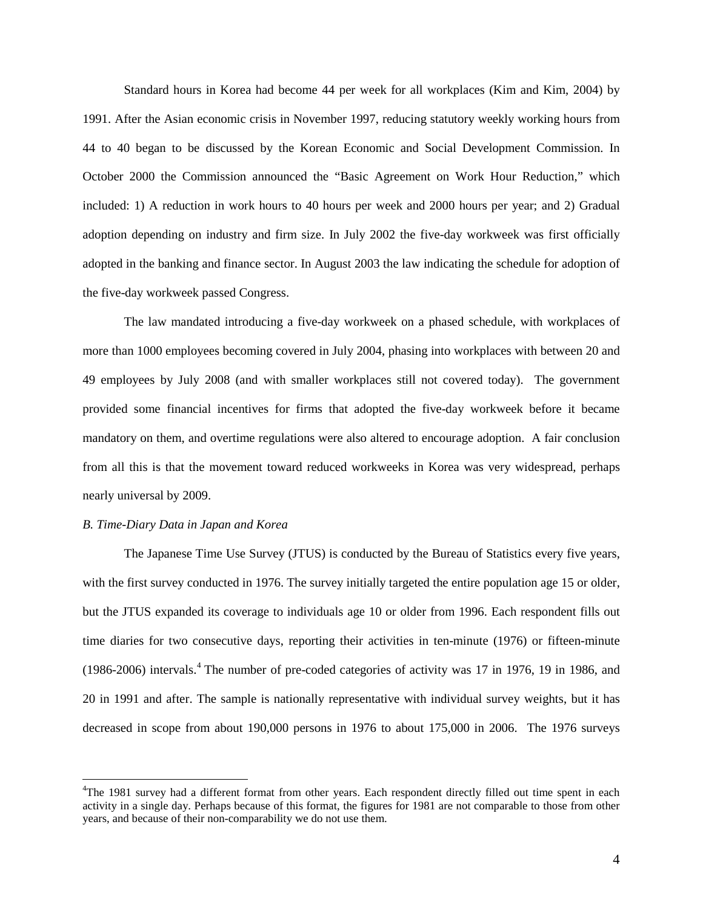Standard hours in Korea had become 44 per week for all workplaces (Kim and Kim, 2004) by 1991. After the Asian economic crisis in November 1997, reducing statutory weekly working hours from 44 to 40 began to be discussed by the Korean Economic and Social Development Commission. In October 2000 the Commission announced the "Basic Agreement on Work Hour Reduction," which included: 1) A reduction in work hours to 40 hours per week and 2000 hours per year; and 2) Gradual adoption depending on industry and firm size. In July 2002 the five-day workweek was first officially adopted in the banking and finance sector. In August 2003 the law indicating the schedule for adoption of the five-day workweek passed Congress.

The law mandated introducing a five-day workweek on a phased schedule, with workplaces of more than 1000 employees becoming covered in July 2004, phasing into workplaces with between 20 and 49 employees by July 2008 (and with smaller workplaces still not covered today). The government provided some financial incentives for firms that adopted the five-day workweek before it became mandatory on them, and overtime regulations were also altered to encourage adoption. A fair conclusion from all this is that the movement toward reduced workweeks in Korea was very widespread, perhaps nearly universal by 2009.

#### *B. Time-Diary Data in Japan and Korea*

The Japanese Time Use Survey (JTUS) is conducted by the Bureau of Statistics every five years, with the first survey conducted in 1976. The survey initially targeted the entire population age 15 or older, but the JTUS expanded its coverage to individuals age 10 or older from 1996. Each respondent fills out time diaries for two consecutive days, reporting their activities in ten-minute (1976) or fifteen-minute  $(1986-2006)$  intervals.<sup>[4](#page-5-0)</sup> The number of pre-coded categories of activity was 17 in 1976, 19 in 1986, and 20 in 1991 and after. The sample is nationally representative with individual survey weights, but it has decreased in scope from about 190,000 persons in 1976 to about 175,000 in 2006. The 1976 surveys

<span id="page-5-0"></span> $\frac{1}{4}$ <sup>4</sup>The 1981 survey had a different format from other years. Each respondent directly filled out time spent in each activity in a single day. Perhaps because of this format, the figures for 1981 are not comparable to those from other years, and because of their non-comparability we do not use them.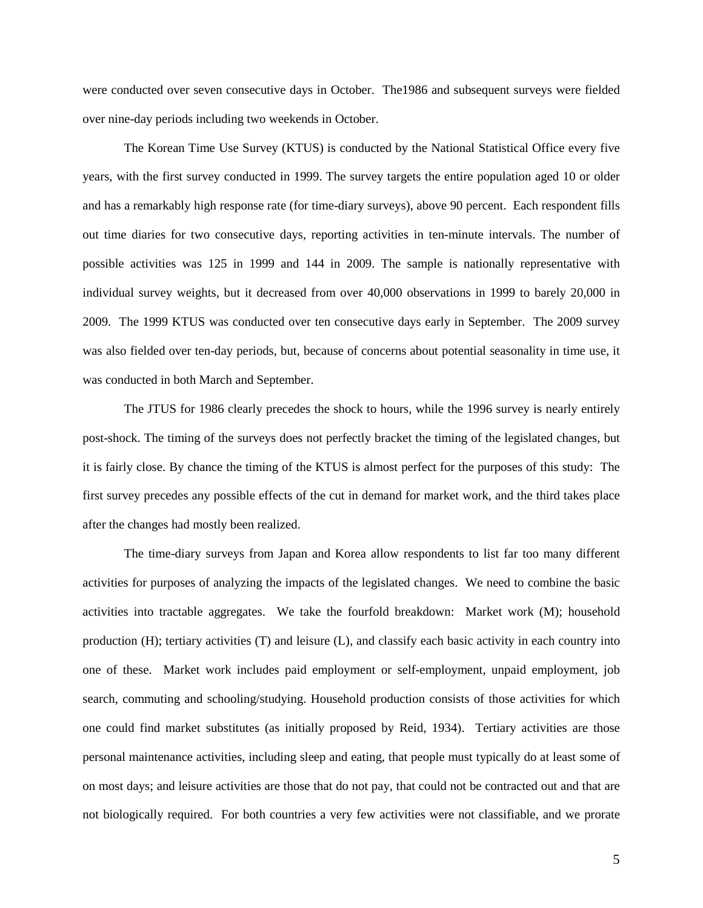were conducted over seven consecutive days in October. The1986 and subsequent surveys were fielded over nine-day periods including two weekends in October.

The Korean Time Use Survey (KTUS) is conducted by the National Statistical Office every five years, with the first survey conducted in 1999. The survey targets the entire population aged 10 or older and has a remarkably high response rate (for time-diary surveys), above 90 percent. Each respondent fills out time diaries for two consecutive days, reporting activities in ten-minute intervals. The number of possible activities was 125 in 1999 and 144 in 2009. The sample is nationally representative with individual survey weights, but it decreased from over 40,000 observations in 1999 to barely 20,000 in 2009. The 1999 KTUS was conducted over ten consecutive days early in September. The 2009 survey was also fielded over ten-day periods, but, because of concerns about potential seasonality in time use, it was conducted in both March and September.

The JTUS for 1986 clearly precedes the shock to hours, while the 1996 survey is nearly entirely post-shock. The timing of the surveys does not perfectly bracket the timing of the legislated changes, but it is fairly close. By chance the timing of the KTUS is almost perfect for the purposes of this study: The first survey precedes any possible effects of the cut in demand for market work, and the third takes place after the changes had mostly been realized.

The time-diary surveys from Japan and Korea allow respondents to list far too many different activities for purposes of analyzing the impacts of the legislated changes. We need to combine the basic activities into tractable aggregates. We take the fourfold breakdown: Market work (M); household production (H); tertiary activities (T) and leisure (L), and classify each basic activity in each country into one of these. Market work includes paid employment or self-employment, unpaid employment, job search, commuting and schooling/studying. Household production consists of those activities for which one could find market substitutes (as initially proposed by Reid, 1934). Tertiary activities are those personal maintenance activities, including sleep and eating, that people must typically do at least some of on most days; and leisure activities are those that do not pay, that could not be contracted out and that are not biologically required. For both countries a very few activities were not classifiable, and we prorate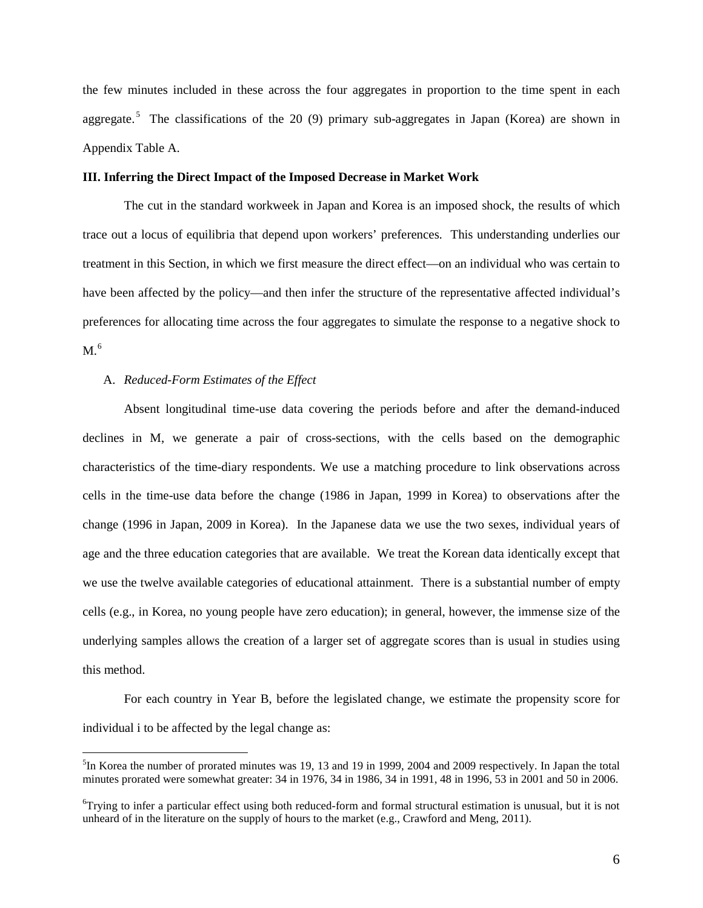the few minutes included in these across the four aggregates in proportion to the time spent in each aggregate.<sup>[5](#page-7-0)</sup> The classifications of the 20 (9) primary sub-aggregates in Japan (Korea) are shown in Appendix Table A.

#### **III. Inferring the Direct Impact of the Imposed Decrease in Market Work**

The cut in the standard workweek in Japan and Korea is an imposed shock, the results of which trace out a locus of equilibria that depend upon workers' preferences. This understanding underlies our treatment in this Section, in which we first measure the direct effect—on an individual who was certain to have been affected by the policy—and then infer the structure of the representative affected individual's preferences for allocating time across the four aggregates to simulate the response to a negative shock to M.<sup>[6](#page-7-1)</sup>

#### A. *Reduced-Form Estimates of the Effect*

Absent longitudinal time-use data covering the periods before and after the demand-induced declines in M, we generate a pair of cross-sections, with the cells based on the demographic characteristics of the time-diary respondents. We use a matching procedure to link observations across cells in the time-use data before the change (1986 in Japan, 1999 in Korea) to observations after the change (1996 in Japan, 2009 in Korea). In the Japanese data we use the two sexes, individual years of age and the three education categories that are available. We treat the Korean data identically except that we use the twelve available categories of educational attainment. There is a substantial number of empty cells (e.g., in Korea, no young people have zero education); in general, however, the immense size of the underlying samples allows the creation of a larger set of aggregate scores than is usual in studies using this method.

For each country in Year B, before the legislated change, we estimate the propensity score for individual i to be affected by the legal change as:

<span id="page-7-0"></span> <sup>5</sup>  ${}^{5}$ In Korea the number of prorated minutes was 19, 13 and 19 in 1999, 2004 and 2009 respectively. In Japan the total minutes prorated were somewhat greater: 34 in 1976, 34 in 1986, 34 in 1991, 48 in 1996, 53 in 2001 and 50 in 2006.

<span id="page-7-1"></span><sup>&</sup>lt;sup>6</sup>Trying to infer a particular effect using both reduced-form and formal structural estimation is unusual, but it is not unheard of in the literature on the supply of hours to the market (e.g., Crawford and Meng, 2011).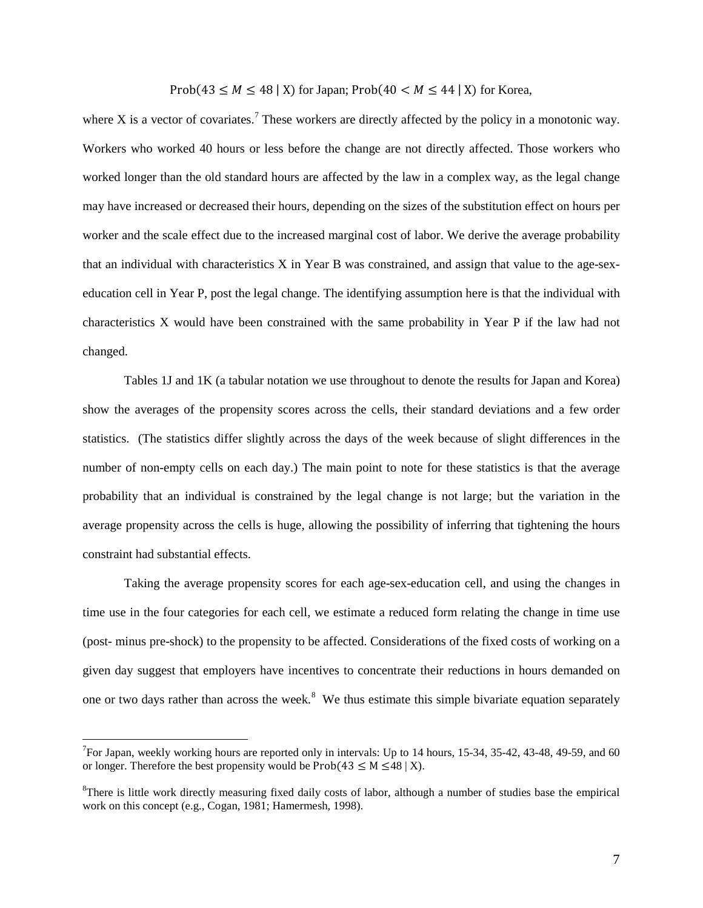Prob(43  $\leq M \leq 48$  | X) for Japan; Prob(40  $\leq M \leq 44$  | X) for Korea,

where X is a vector of covariates.<sup>[7](#page-8-0)</sup> These workers are directly affected by the policy in a monotonic way. Workers who worked 40 hours or less before the change are not directly affected. Those workers who worked longer than the old standard hours are affected by the law in a complex way, as the legal change may have increased or decreased their hours, depending on the sizes of the substitution effect on hours per worker and the scale effect due to the increased marginal cost of labor. We derive the average probability that an individual with characteristics X in Year B was constrained, and assign that value to the age-sexeducation cell in Year P, post the legal change. The identifying assumption here is that the individual with characteristics X would have been constrained with the same probability in Year P if the law had not changed.

Tables 1J and 1K (a tabular notation we use throughout to denote the results for Japan and Korea) show the averages of the propensity scores across the cells, their standard deviations and a few order statistics. (The statistics differ slightly across the days of the week because of slight differences in the number of non-empty cells on each day.) The main point to note for these statistics is that the average probability that an individual is constrained by the legal change is not large; but the variation in the average propensity across the cells is huge, allowing the possibility of inferring that tightening the hours constraint had substantial effects.

Taking the average propensity scores for each age-sex-education cell, and using the changes in time use in the four categories for each cell, we estimate a reduced form relating the change in time use (post- minus pre-shock) to the propensity to be affected. Considerations of the fixed costs of working on a given day suggest that employers have incentives to concentrate their reductions in hours demanded on one or two days rather than across the week.<sup>[8](#page-8-1)</sup> We thus estimate this simple bivariate equation separately

<span id="page-8-0"></span><sup>-&</sup>lt;br>7  $^7$ For Japan, weekly working hours are reported only in intervals: Up to 14 hours, 15-34, 35-42, 43-48, 49-59, and 60 or longer. Therefore the best propensity would be  $Prob(43 \le M \le 48 \mid X)$ .

<span id="page-8-1"></span><sup>&</sup>lt;sup>8</sup>There is little work directly measuring fixed daily costs of labor, although a number of studies base the empirical work on this concept (e.g., Cogan, 1981; Hamermesh, 1998).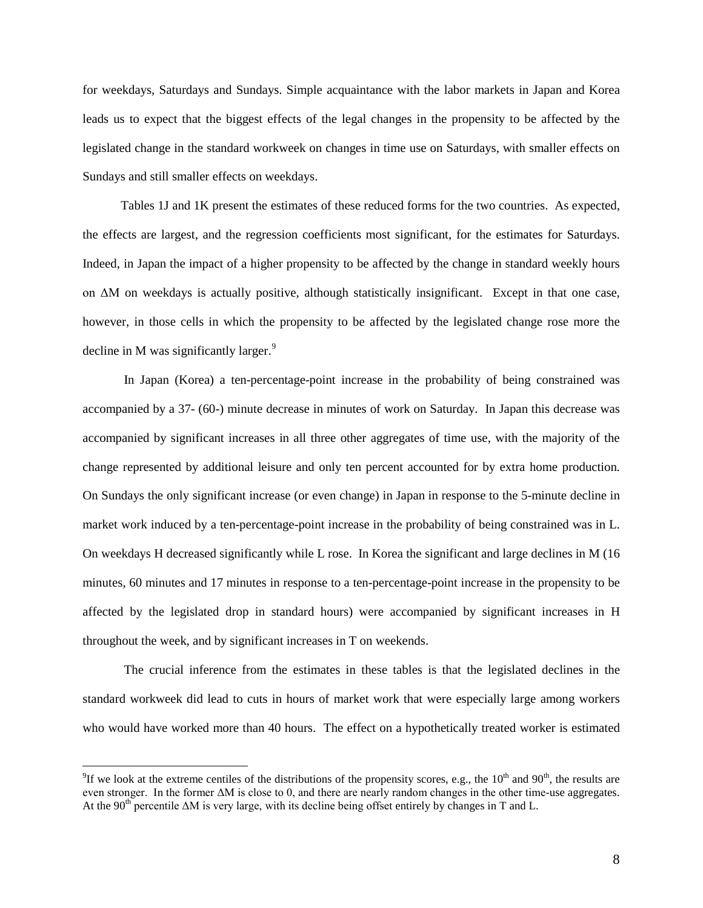for weekdays, Saturdays and Sundays. Simple acquaintance with the labor markets in Japan and Korea leads us to expect that the biggest effects of the legal changes in the propensity to be affected by the legislated change in the standard workweek on changes in time use on Saturdays, with smaller effects on Sundays and still smaller effects on weekdays.

Tables 1J and 1K present the estimates of these reduced forms for the two countries. As expected, the effects are largest, and the regression coefficients most significant, for the estimates for Saturdays. Indeed, in Japan the impact of a higher propensity to be affected by the change in standard weekly hours on ΔM on weekdays is actually positive, although statistically insignificant. Except in that one case, however, in those cells in which the propensity to be affected by the legislated change rose more the decline in M was significantly larger.<sup>[9](#page-9-0)</sup>

In Japan (Korea) a ten-percentage-point increase in the probability of being constrained was accompanied by a 37- (60-) minute decrease in minutes of work on Saturday. In Japan this decrease was accompanied by significant increases in all three other aggregates of time use, with the majority of the change represented by additional leisure and only ten percent accounted for by extra home production. On Sundays the only significant increase (or even change) in Japan in response to the 5-minute decline in market work induced by a ten-percentage-point increase in the probability of being constrained was in L. On weekdays H decreased significantly while L rose. In Korea the significant and large declines in M (16 minutes, 60 minutes and 17 minutes in response to a ten-percentage-point increase in the propensity to be affected by the legislated drop in standard hours) were accompanied by significant increases in H throughout the week, and by significant increases in T on weekends.

The crucial inference from the estimates in these tables is that the legislated declines in the standard workweek did lead to cuts in hours of market work that were especially large among workers who would have worked more than 40 hours. The effect on a hypothetically treated worker is estimated

<span id="page-9-0"></span><sup>-&</sup>lt;br>9 <sup>9</sup>If we look at the extreme centiles of the distributions of the propensity scores, e.g., the 10<sup>th</sup> and 90<sup>th</sup>, the results are even stronger. In the former  $\Delta M$  is close to 0, and there are nearly random changes in the other time-use aggregates. At the 90<sup>th</sup> percentile  $\Delta M$  is very large, with its decline being offset entirely by changes in T and L.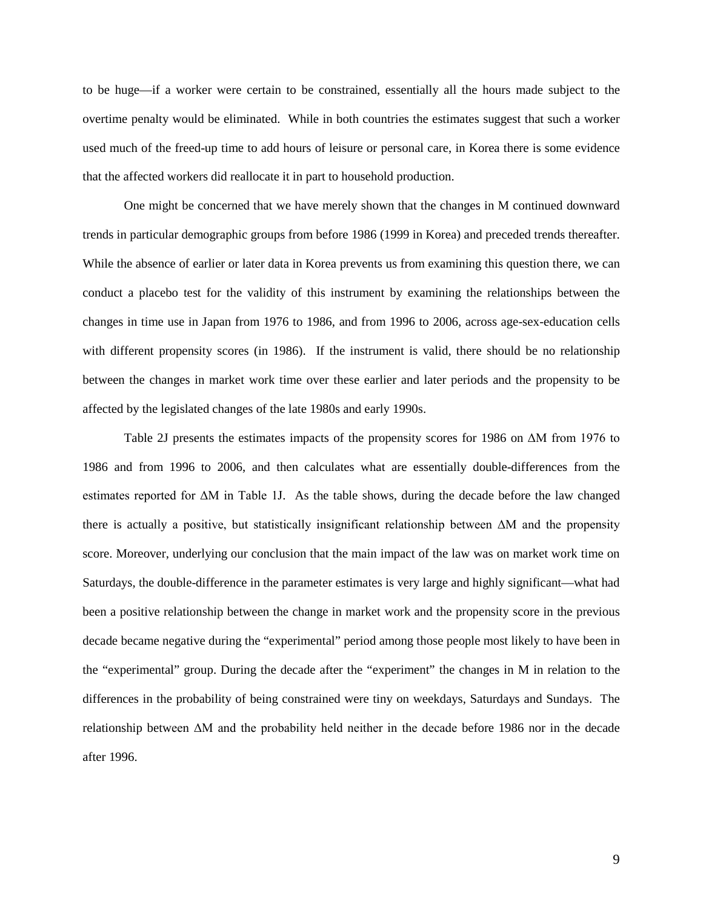to be huge—if a worker were certain to be constrained, essentially all the hours made subject to the overtime penalty would be eliminated. While in both countries the estimates suggest that such a worker used much of the freed-up time to add hours of leisure or personal care, in Korea there is some evidence that the affected workers did reallocate it in part to household production.

One might be concerned that we have merely shown that the changes in M continued downward trends in particular demographic groups from before 1986 (1999 in Korea) and preceded trends thereafter. While the absence of earlier or later data in Korea prevents us from examining this question there, we can conduct a placebo test for the validity of this instrument by examining the relationships between the changes in time use in Japan from 1976 to 1986, and from 1996 to 2006, across age-sex-education cells with different propensity scores (in 1986). If the instrument is valid, there should be no relationship between the changes in market work time over these earlier and later periods and the propensity to be affected by the legislated changes of the late 1980s and early 1990s.

Table 2J presents the estimates impacts of the propensity scores for 1986 on ΔM from 1976 to 1986 and from 1996 to 2006, and then calculates what are essentially double-differences from the estimates reported for ΔM in Table 1J. As the table shows, during the decade before the law changed there is actually a positive, but statistically insignificant relationship between ΔM and the propensity score. Moreover, underlying our conclusion that the main impact of the law was on market work time on Saturdays, the double-difference in the parameter estimates is very large and highly significant—what had been a positive relationship between the change in market work and the propensity score in the previous decade became negative during the "experimental" period among those people most likely to have been in the "experimental" group. During the decade after the "experiment" the changes in M in relation to the differences in the probability of being constrained were tiny on weekdays, Saturdays and Sundays. The relationship between ΔM and the probability held neither in the decade before 1986 nor in the decade after 1996.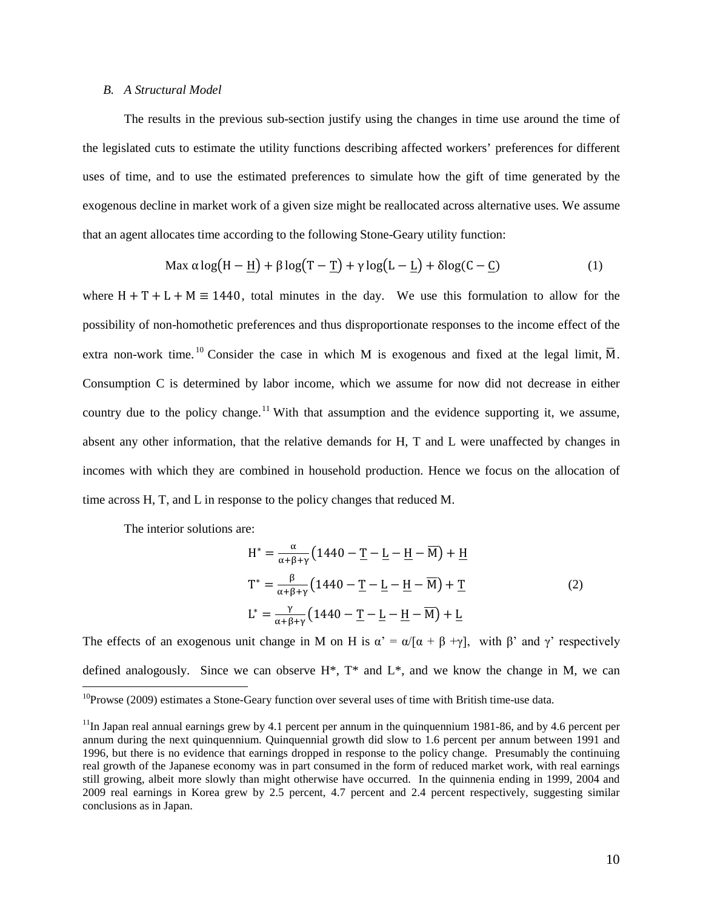#### *B. A Structural Model*

The results in the previous sub-section justify using the changes in time use around the time of the legislated cuts to estimate the utility functions describing affected workers' preferences for different uses of time, and to use the estimated preferences to simulate how the gift of time generated by the exogenous decline in market work of a given size might be reallocated across alternative uses. We assume that an agent allocates time according to the following Stone-Geary utility function:

$$
\text{Max } \alpha \log\left(H - \underline{H}\right) + \beta \log\left(T - \underline{T}\right) + \gamma \log\left(L - \underline{L}\right) + \delta \log\left(C - \underline{C}\right) \tag{1}
$$

where  $H + T + L + M \equiv 1440$ , total minutes in the day. We use this formulation to allow for the possibility of non-homothetic preferences and thus disproportionate responses to the income effect of the extra non-work time.<sup>[10](#page-11-0)</sup> Consider the case in which M is exogenous and fixed at the legal limit,  $\overline{M}$ . Consumption C is determined by labor income, which we assume for now did not decrease in either country due to the policy change.<sup>[11](#page-11-1)</sup> With that assumption and the evidence supporting it, we assume, absent any other information, that the relative demands for H, T and L were unaffected by changes in incomes with which they are combined in household production. Hence we focus on the allocation of time across H, T, and L in response to the policy changes that reduced M.

The interior solutions are:

$$
H^* = \frac{\alpha}{\alpha + \beta + \gamma} \left( 1440 - \underline{T} - \underline{L} - \underline{H} - \overline{M} \right) + \underline{H}
$$
  
\n
$$
T^* = \frac{\beta}{\alpha + \beta + \gamma} \left( 1440 - \underline{T} - \underline{L} - \underline{H} - \overline{M} \right) + \underline{T}
$$
  
\n
$$
L^* = \frac{\gamma}{\alpha + \beta + \gamma} \left( 1440 - \underline{T} - \underline{L} - \underline{H} - \overline{M} \right) + \underline{L}
$$
\n(2)

The effects of an exogenous unit change in M on H is  $\alpha' = \alpha/[\alpha + \beta + \gamma]$ , with  $\beta'$  and  $\gamma'$  respectively defined analogously. Since we can observe  $H^*$ ,  $T^*$  and  $L^*$ , and we know the change in M, we can

<span id="page-11-0"></span><sup>&</sup>lt;sup>10</sup>Prowse (2009) estimates a Stone-Geary function over several uses of time with British time-use data.

<span id="page-11-1"></span> $11$ In Japan real annual earnings grew by 4.1 percent per annum in the quinquennium 1981-86, and by 4.6 percent per annum during the next quinquennium. Quinquennial growth did slow to 1.6 percent per annum between 1991 and 1996, but there is no evidence that earnings dropped in response to the policy change. Presumably the continuing real growth of the Japanese economy was in part consumed in the form of reduced market work, with real earnings still growing, albeit more slowly than might otherwise have occurred. In the quinnenia ending in 1999, 2004 and 2009 real earnings in Korea grew by 2.5 percent, 4.7 percent and 2.4 percent respectively, suggesting similar conclusions as in Japan.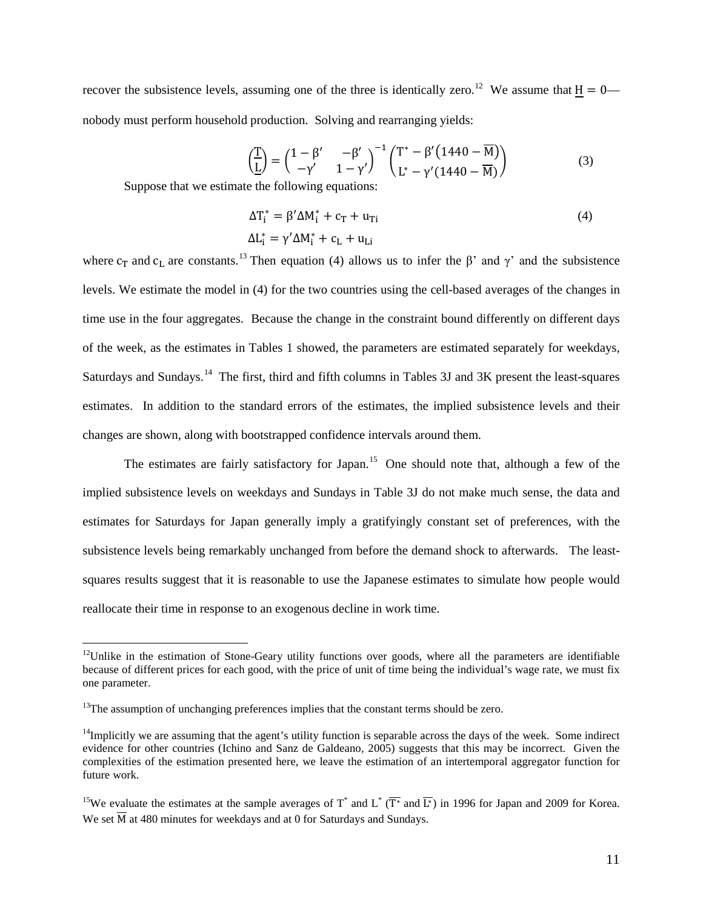recover the subsistence levels, assuming one of the three is identically zero.<sup>12</sup> We assume that  $H = 0$  nobody must perform household production. Solving and rearranging yields:

$$
\left(\frac{T}{L}\right) = \begin{pmatrix} 1 - \beta' & -\beta' \\ -\gamma' & 1 - \gamma' \end{pmatrix}^{-1} \begin{pmatrix} T^* - \beta'(1440 - \overline{M}) \\ L^* - \gamma'(1440 - \overline{M}) \end{pmatrix}
$$
\n(3)

Suppose that we estimate the following equations:

$$
\Delta T_i^* = \beta' \Delta M_i^* + c_T + u_{Ti}
$$
  
\n
$$
\Delta L_i^* = \gamma' \Delta M_i^* + c_L + u_{Li}
$$
\n(4)

where c<sub>T</sub> and c<sub>L</sub> are constants.<sup>[13](#page-12-1)</sup> Then equation (4) allows us to infer the β' and  $\gamma$ ' and the subsistence levels. We estimate the model in (4) for the two countries using the cell-based averages of the changes in time use in the four aggregates. Because the change in the constraint bound differently on different days of the week, as the estimates in Tables 1 showed, the parameters are estimated separately for weekdays, Saturdays and Sundays.<sup>14</sup> The first, third and fifth columns in Tables 3J and 3K present the least-squares estimates. In addition to the standard errors of the estimates, the implied subsistence levels and their changes are shown, along with bootstrapped confidence intervals around them.

The estimates are fairly satisfactory for Japan.<sup>15</sup> One should note that, although a few of the implied subsistence levels on weekdays and Sundays in Table 3J do not make much sense, the data and estimates for Saturdays for Japan generally imply a gratifyingly constant set of preferences, with the subsistence levels being remarkably unchanged from before the demand shock to afterwards. The leastsquares results suggest that it is reasonable to use the Japanese estimates to simulate how people would reallocate their time in response to an exogenous decline in work time.

<span id="page-12-0"></span> $12$ Unlike in the estimation of Stone-Geary utility functions over goods, where all the parameters are identifiable because of different prices for each good, with the price of unit of time being the individual's wage rate, we must fix one parameter.

<span id="page-12-1"></span> $13$ The assumption of unchanging preferences implies that the constant terms should be zero.

<span id="page-12-2"></span> $14$ Implicitly we are assuming that the agent's utility function is separable across the days of the week. Some indirect evidence for other countries (Ichino and Sanz de Galdeano, 2005) suggests that this may be incorrect. Given the complexities of the estimation presented here, we leave the estimation of an intertemporal aggregator function for future work.

<span id="page-12-3"></span><sup>&</sup>lt;sup>15</sup>We evaluate the estimates at the sample averages of T<sup>\*</sup> and L<sup>\*</sup> ( $\overline{T^*}$  and  $\overline{L^*}$ ) in 1996 for Japan and 2009 for Korea. We set  $\overline{M}$  at 480 minutes for weekdays and at 0 for Saturdays and Sundays.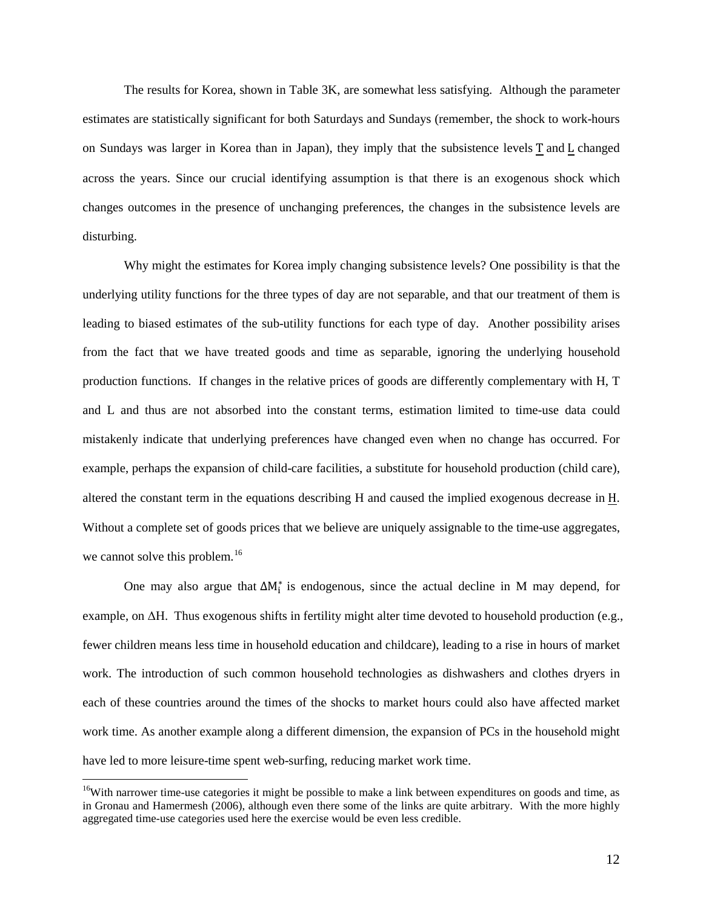The results for Korea, shown in Table 3K, are somewhat less satisfying. Although the parameter estimates are statistically significant for both Saturdays and Sundays (remember, the shock to work-hours on Sundays was larger in Korea than in Japan), they imply that the subsistence levels T and L changed across the years. Since our crucial identifying assumption is that there is an exogenous shock which changes outcomes in the presence of unchanging preferences, the changes in the subsistence levels are disturbing.

Why might the estimates for Korea imply changing subsistence levels? One possibility is that the underlying utility functions for the three types of day are not separable, and that our treatment of them is leading to biased estimates of the sub-utility functions for each type of day. Another possibility arises from the fact that we have treated goods and time as separable, ignoring the underlying household production functions. If changes in the relative prices of goods are differently complementary with H, T and L and thus are not absorbed into the constant terms, estimation limited to time-use data could mistakenly indicate that underlying preferences have changed even when no change has occurred. For example, perhaps the expansion of child-care facilities, a substitute for household production (child care), altered the constant term in the equations describing H and caused the implied exogenous decrease in H. Without a complete set of goods prices that we believe are uniquely assignable to the time-use aggregates, we cannot solve this problem.<sup>[16](#page-13-0)</sup>

One may also argue that  $\Delta M_i^*$  is endogenous, since the actual decline in M may depend, for example, on ΔH. Thus exogenous shifts in fertility might alter time devoted to household production (e.g., fewer children means less time in household education and childcare), leading to a rise in hours of market work. The introduction of such common household technologies as dishwashers and clothes dryers in each of these countries around the times of the shocks to market hours could also have affected market work time. As another example along a different dimension, the expansion of PCs in the household might have led to more leisure-time spent web-surfing, reducing market work time.

<span id="page-13-0"></span><sup>&</sup>lt;sup>16</sup>With narrower time-use categories it might be possible to make a link between expenditures on goods and time, as in Gronau and Hamermesh (2006), although even there some of the links are quite arbitrary. With the more highly aggregated time-use categories used here the exercise would be even less credible.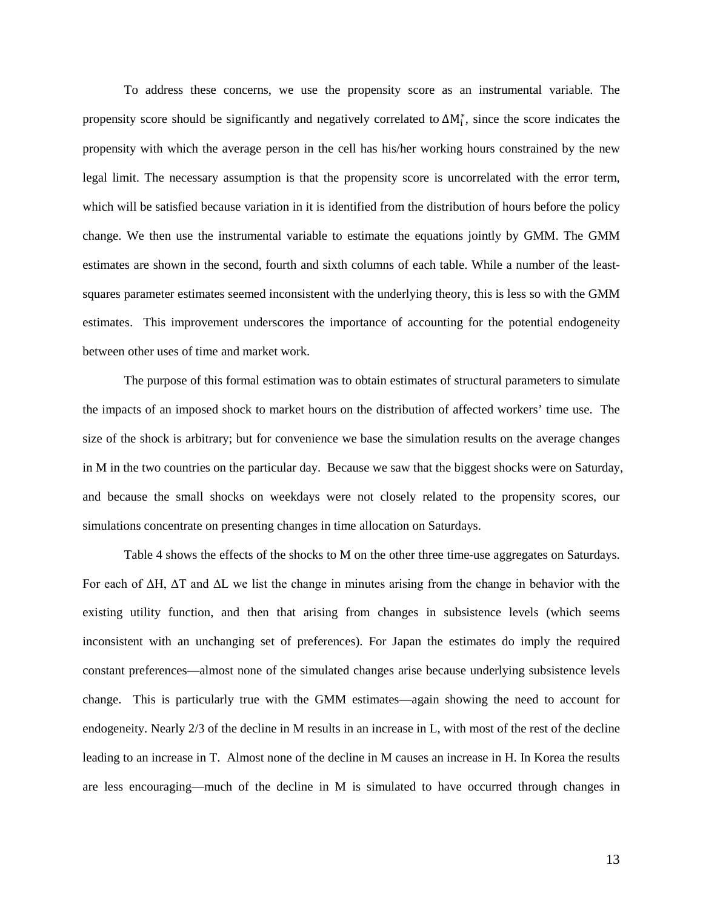To address these concerns, we use the propensity score as an instrumental variable. The propensity score should be significantly and negatively correlated to  $\Delta M_i^*$ , since the score indicates the propensity with which the average person in the cell has his/her working hours constrained by the new legal limit. The necessary assumption is that the propensity score is uncorrelated with the error term, which will be satisfied because variation in it is identified from the distribution of hours before the policy change. We then use the instrumental variable to estimate the equations jointly by GMM. The GMM estimates are shown in the second, fourth and sixth columns of each table. While a number of the leastsquares parameter estimates seemed inconsistent with the underlying theory, this is less so with the GMM estimates. This improvement underscores the importance of accounting for the potential endogeneity between other uses of time and market work.

The purpose of this formal estimation was to obtain estimates of structural parameters to simulate the impacts of an imposed shock to market hours on the distribution of affected workers' time use. The size of the shock is arbitrary; but for convenience we base the simulation results on the average changes in M in the two countries on the particular day. Because we saw that the biggest shocks were on Saturday, and because the small shocks on weekdays were not closely related to the propensity scores, our simulations concentrate on presenting changes in time allocation on Saturdays.

Table 4 shows the effects of the shocks to M on the other three time-use aggregates on Saturdays. For each of ΔH, ΔT and ΔL we list the change in minutes arising from the change in behavior with the existing utility function, and then that arising from changes in subsistence levels (which seems inconsistent with an unchanging set of preferences). For Japan the estimates do imply the required constant preferences—almost none of the simulated changes arise because underlying subsistence levels change. This is particularly true with the GMM estimates—again showing the need to account for endogeneity. Nearly 2/3 of the decline in M results in an increase in L, with most of the rest of the decline leading to an increase in T. Almost none of the decline in M causes an increase in H. In Korea the results are less encouraging—much of the decline in M is simulated to have occurred through changes in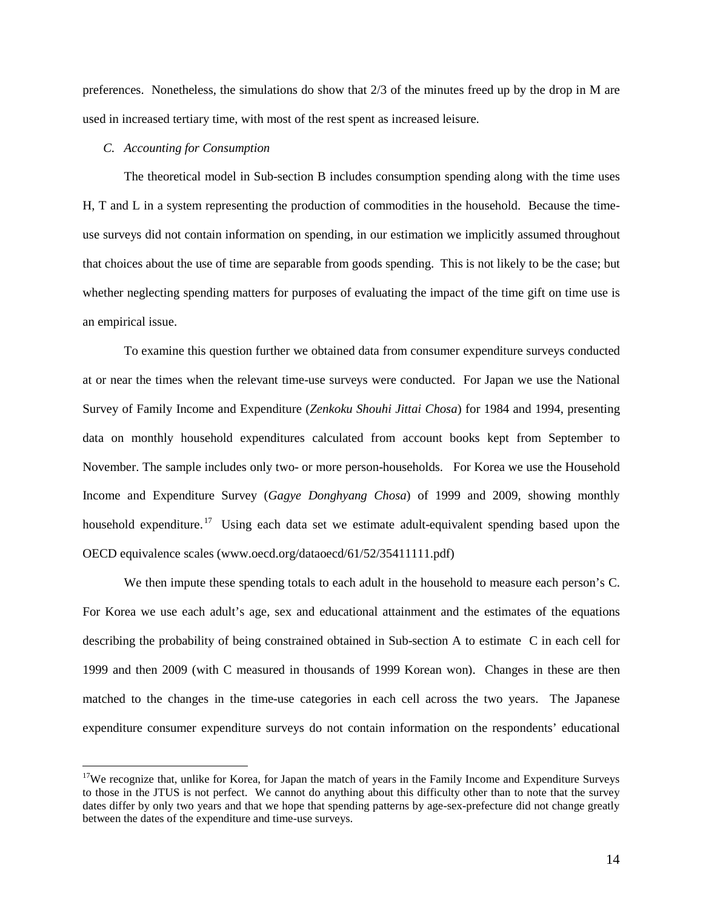preferences. Nonetheless, the simulations do show that 2/3 of the minutes freed up by the drop in M are used in increased tertiary time, with most of the rest spent as increased leisure.

#### *C. Accounting for Consumption*

The theoretical model in Sub-section B includes consumption spending along with the time uses H, T and L in a system representing the production of commodities in the household. Because the timeuse surveys did not contain information on spending, in our estimation we implicitly assumed throughout that choices about the use of time are separable from goods spending. This is not likely to be the case; but whether neglecting spending matters for purposes of evaluating the impact of the time gift on time use is an empirical issue.

To examine this question further we obtained data from consumer expenditure surveys conducted at or near the times when the relevant time-use surveys were conducted. For Japan we use the National Survey of Family Income and Expenditure (*Zenkoku Shouhi Jittai Chosa*) for 1984 and 1994, presenting data on monthly household expenditures calculated from account books kept from September to November. The sample includes only two- or more person-households.For Korea we use the Household Income and Expenditure Survey (*Gagye Donghyang Chosa*) of 1999 and 2009, showing monthly household expenditure.<sup>[17](#page-15-0)</sup> Using each data set we estimate adult-equivalent spending based upon the OECD equivalence scales (www.oecd.org/dataoecd/61/52/35411111.pdf)

We then impute these spending totals to each adult in the household to measure each person's C. For Korea we use each adult's age, sex and educational attainment and the estimates of the equations describing the probability of being constrained obtained in Sub-section A to estimate C in each cell for 1999 and then 2009 (with C measured in thousands of 1999 Korean won). Changes in these are then matched to the changes in the time-use categories in each cell across the two years. The Japanese expenditure consumer expenditure surveys do not contain information on the respondents' educational

<span id="page-15-0"></span><sup>&</sup>lt;sup>17</sup>We recognize that, unlike for Korea, for Japan the match of years in the Family Income and Expenditure Surveys to those in the JTUS is not perfect. We cannot do anything about this difficulty other than to note that the survey dates differ by only two years and that we hope that spending patterns by age-sex-prefecture did not change greatly between the dates of the expenditure and time-use surveys.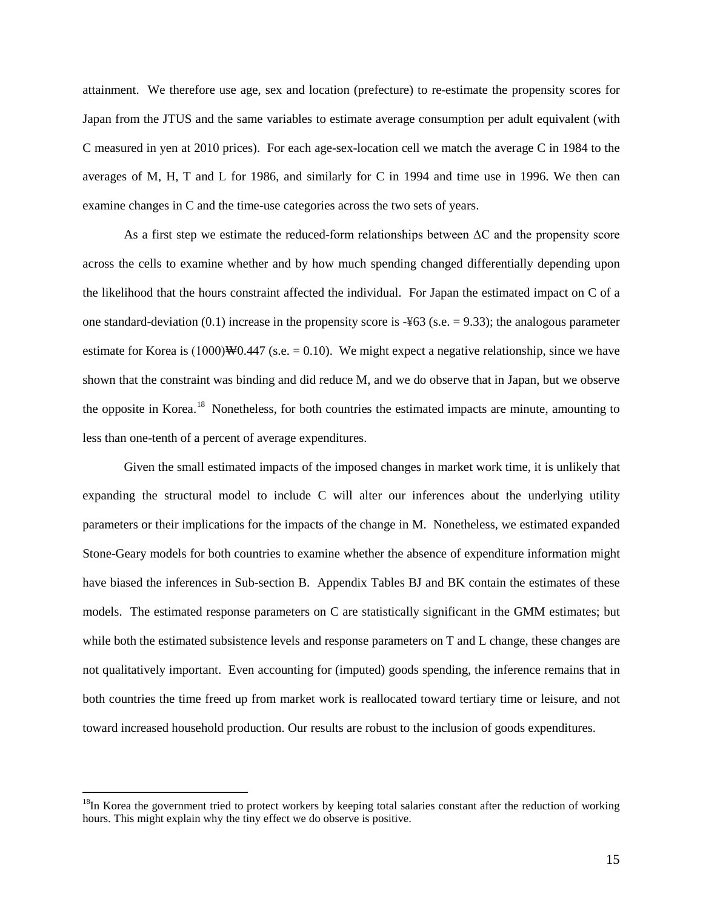attainment. We therefore use age, sex and location (prefecture) to re-estimate the propensity scores for Japan from the JTUS and the same variables to estimate average consumption per adult equivalent (with C measured in yen at 2010 prices). For each age-sex-location cell we match the average C in 1984 to the averages of M, H, T and L for 1986, and similarly for C in 1994 and time use in 1996. We then can examine changes in C and the time-use categories across the two sets of years.

As a first step we estimate the reduced-form relationships between  $\Delta C$  and the propensity score across the cells to examine whether and by how much spending changed differentially depending upon the likelihood that the hours constraint affected the individual. For Japan the estimated impact on C of a one standard-deviation  $(0.1)$  increase in the propensity score is  $-463$  (s.e. = 9.33); the analogous parameter estimate for Korea is  $(1000)$ W0.447 (s.e. = 0.10). We might expect a negative relationship, since we have shown that the constraint was binding and did reduce M, and we do observe that in Japan, but we observe the opposite in Korea.<sup>18</sup> Nonetheless, for both countries the estimated impacts are minute, amounting to less than one-tenth of a percent of average expenditures.

Given the small estimated impacts of the imposed changes in market work time, it is unlikely that expanding the structural model to include C will alter our inferences about the underlying utility parameters or their implications for the impacts of the change in M. Nonetheless, we estimated expanded Stone-Geary models for both countries to examine whether the absence of expenditure information might have biased the inferences in Sub-section B. Appendix Tables BJ and BK contain the estimates of these models. The estimated response parameters on C are statistically significant in the GMM estimates; but while both the estimated subsistence levels and response parameters on T and L change, these changes are not qualitatively important. Even accounting for (imputed) goods spending, the inference remains that in both countries the time freed up from market work is reallocated toward tertiary time or leisure, and not toward increased household production. Our results are robust to the inclusion of goods expenditures.

<span id="page-16-0"></span><sup>&</sup>lt;sup>18</sup>In Korea the government tried to protect workers by keeping total salaries constant after the reduction of working hours. This might explain why the tiny effect we do observe is positive.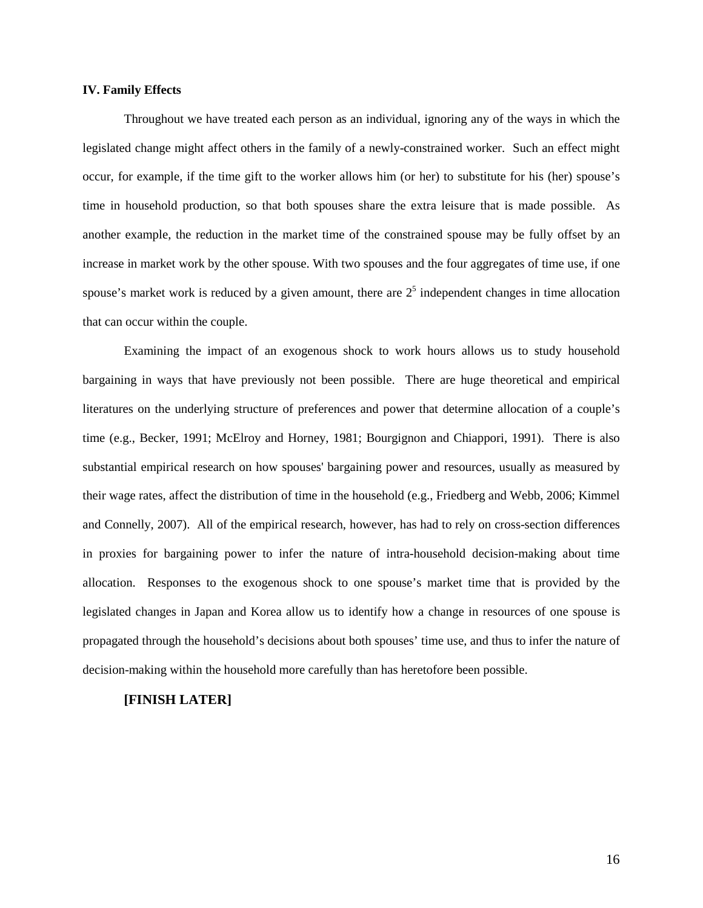#### **IV. Family Effects**

Throughout we have treated each person as an individual, ignoring any of the ways in which the legislated change might affect others in the family of a newly-constrained worker. Such an effect might occur, for example, if the time gift to the worker allows him (or her) to substitute for his (her) spouse's time in household production, so that both spouses share the extra leisure that is made possible. As another example, the reduction in the market time of the constrained spouse may be fully offset by an increase in market work by the other spouse. With two spouses and the four aggregates of time use, if one spouse's market work is reduced by a given amount, there are  $2<sup>5</sup>$  independent changes in time allocation that can occur within the couple.

Examining the impact of an exogenous shock to work hours allows us to study household bargaining in ways that have previously not been possible. There are huge theoretical and empirical literatures on the underlying structure of preferences and power that determine allocation of a couple's time (e.g., Becker, 1991; McElroy and Horney, 1981; Bourgignon and Chiappori, 1991). There is also substantial empirical research on how spouses' bargaining power and resources, usually as measured by their wage rates, affect the distribution of time in the household (e.g., Friedberg and Webb, 2006; Kimmel and Connelly, 2007). All of the empirical research, however, has had to rely on cross-section differences in proxies for bargaining power to infer the nature of intra-household decision-making about time allocation. Responses to the exogenous shock to one spouse's market time that is provided by the legislated changes in Japan and Korea allow us to identify how a change in resources of one spouse is propagated through the household's decisions about both spouses' time use, and thus to infer the nature of decision-making within the household more carefully than has heretofore been possible.

### **[FINISH LATER]**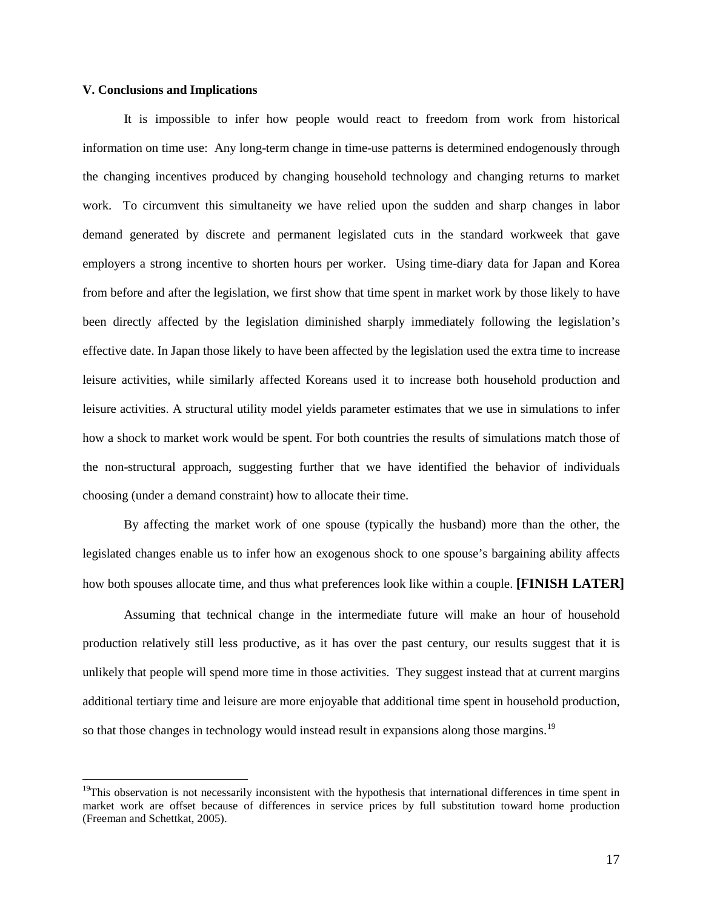#### **V. Conclusions and Implications**

It is impossible to infer how people would react to freedom from work from historical information on time use: Any long-term change in time-use patterns is determined endogenously through the changing incentives produced by changing household technology and changing returns to market work. To circumvent this simultaneity we have relied upon the sudden and sharp changes in labor demand generated by discrete and permanent legislated cuts in the standard workweek that gave employers a strong incentive to shorten hours per worker. Using time-diary data for Japan and Korea from before and after the legislation, we first show that time spent in market work by those likely to have been directly affected by the legislation diminished sharply immediately following the legislation's effective date. In Japan those likely to have been affected by the legislation used the extra time to increase leisure activities, while similarly affected Koreans used it to increase both household production and leisure activities. A structural utility model yields parameter estimates that we use in simulations to infer how a shock to market work would be spent. For both countries the results of simulations match those of the non-structural approach, suggesting further that we have identified the behavior of individuals choosing (under a demand constraint) how to allocate their time.

By affecting the market work of one spouse (typically the husband) more than the other, the legislated changes enable us to infer how an exogenous shock to one spouse's bargaining ability affects how both spouses allocate time, and thus what preferences look like within a couple. **[FINISH LATER]** 

Assuming that technical change in the intermediate future will make an hour of household production relatively still less productive, as it has over the past century, our results suggest that it is unlikely that people will spend more time in those activities. They suggest instead that at current margins additional tertiary time and leisure are more enjoyable that additional time spent in household production, so that those changes in technology would instead result in expansions along those margins.<sup>19</sup>

<span id="page-18-0"></span> $19$ This observation is not necessarily inconsistent with the hypothesis that international differences in time spent in market work are offset because of differences in service prices by full substitution toward home production (Freeman and Schettkat, 2005).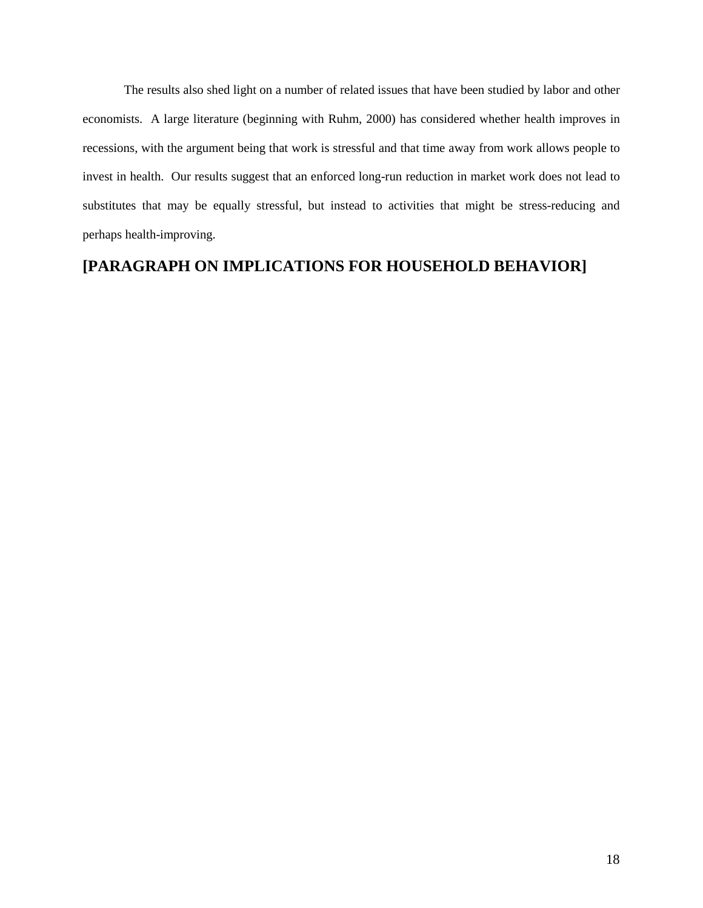The results also shed light on a number of related issues that have been studied by labor and other economists. A large literature (beginning with Ruhm, 2000) has considered whether health improves in recessions, with the argument being that work is stressful and that time away from work allows people to invest in health. Our results suggest that an enforced long-run reduction in market work does not lead to substitutes that may be equally stressful, but instead to activities that might be stress-reducing and perhaps health-improving.

# **[PARAGRAPH ON IMPLICATIONS FOR HOUSEHOLD BEHAVIOR]**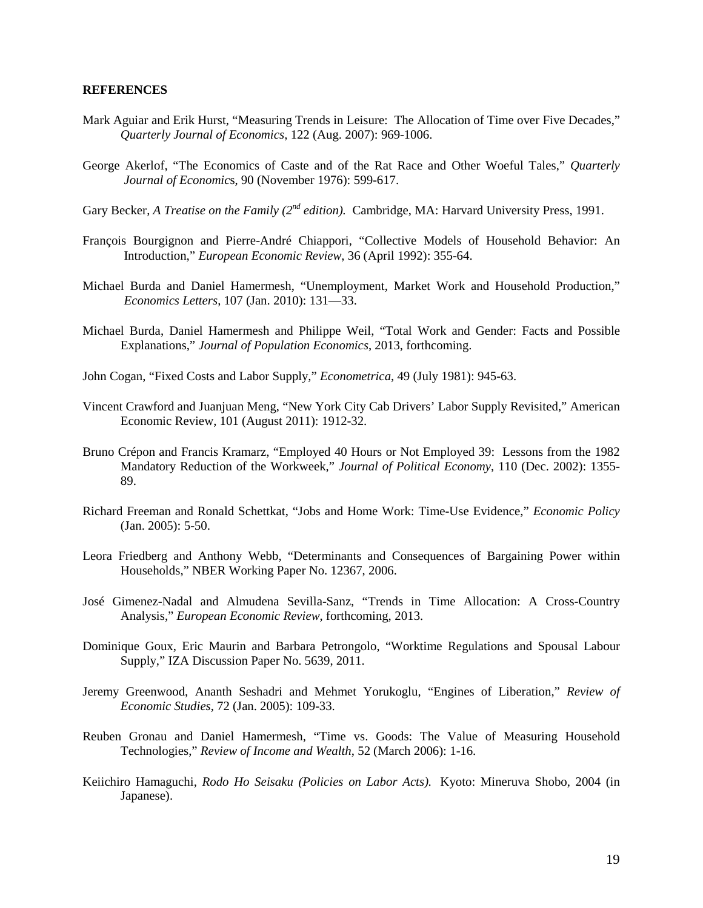#### **REFERENCES**

- Mark Aguiar and Erik Hurst, "Measuring Trends in Leisure: The Allocation of Time over Five Decades," *Quarterly Journal of Economics*, 122 (Aug. 2007): 969-1006.
- George Akerlof, "The Economics of Caste and of the Rat Race and Other Woeful Tales," *Quarterly Journal of Economic*s, 90 (November 1976): 599-617.
- Gary Becker, *A Treatise on the Family (2<sup>nd</sup> edition)*. Cambridge, MA: Harvard University Press, 1991.
- François Bourgignon and Pierre-André Chiappori, "Collective Models of Household Behavior: An Introduction," *European Economic Review*, 36 (April 1992): 355-64.
- Michael Burda and Daniel Hamermesh, "Unemployment, Market Work and Household Production," *Economics Letters*, 107 (Jan. 2010): 131—33.
- Michael Burda, Daniel Hamermesh and Philippe Weil, "Total Work and Gender: Facts and Possible Explanations," *Journal of Population Economics*, 2013, forthcoming.
- John Cogan, "Fixed Costs and Labor Supply," *Econometrica*, 49 (July 1981): 945-63.
- Vincent Crawford and Juanjuan Meng, "New York City Cab Drivers' Labor Supply Revisited," American Economic Review, 101 (August 2011): 1912-32.
- Bruno Crépon and Francis Kramarz, "Employed 40 Hours or Not Employed 39: Lessons from the 1982 Mandatory Reduction of the Workweek," *Journal of Political Economy*, 110 (Dec. 2002): 1355- 89.
- Richard Freeman and Ronald Schettkat, "Jobs and Home Work: Time-Use Evidence," *Economic Policy* (Jan. 2005): 5-50.
- Leora Friedberg and Anthony Webb, "Determinants and Consequences of Bargaining Power within Households," NBER Working Paper No. 12367, 2006.
- José Gimenez-Nadal and Almudena Sevilla-Sanz, "Trends in Time Allocation: A Cross-Country Analysis," *European Economic Review*, forthcoming, 2013.
- Dominique Goux, Eric Maurin and Barbara Petrongolo, "Worktime Regulations and Spousal Labour Supply," IZA Discussion Paper No. 5639, 2011.
- Jeremy Greenwood, Ananth Seshadri and Mehmet Yorukoglu, "Engines of Liberation," *Review of Economic Studies*, 72 (Jan. 2005): 109-33.
- Reuben Gronau and Daniel Hamermesh, "Time vs. Goods: The Value of Measuring Household Technologies," *Review of Income and Wealth*, 52 (March 2006): 1-16.
- Keiichiro Hamaguchi, *Rodo Ho Seisaku (Policies on Labor Acts).* Kyoto: Mineruva Shobo, 2004 (in Japanese).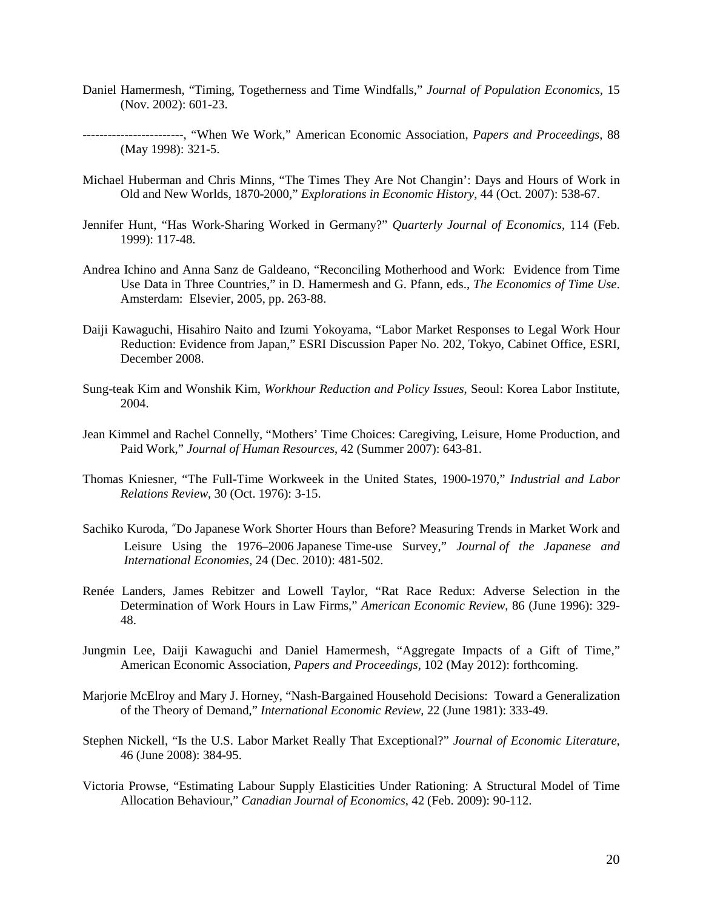- Daniel Hamermesh, "Timing, Togetherness and Time Windfalls," *Journal of Population Economics*, 15 (Nov. 2002): 601-23.
- ------------------------, "When We Work," American Economic Association, *Papers and Proceedings*, 88 (May 1998): 321-5.
- Michael Huberman and Chris Minns, "The Times They Are Not Changin': Days and Hours of Work in Old and New Worlds, 1870-2000," *Explorations in Economic History*, 44 (Oct. 2007): 538-67.
- Jennifer Hunt, "Has Work-Sharing Worked in Germany?" *Quarterly Journal of Economics*, 114 (Feb. 1999): 117-48.
- Andrea Ichino and Anna Sanz de Galdeano, "Reconciling Motherhood and Work: Evidence from Time Use Data in Three Countries," in D. Hamermesh and G. Pfann, eds., *The Economics of Time Use*. Amsterdam: Elsevier, 2005, pp. 263-88.
- Daiji Kawaguchi, Hisahiro Naito and Izumi Yokoyama, "Labor Market Responses to Legal Work Hour Reduction: Evidence from Japan," ESRI Discussion Paper No. 202, Tokyo, Cabinet Office, ESRI, December 2008.
- Sung-teak Kim and Wonshik Kim, *Workhour Reduction and Policy Issues*, Seoul: Korea Labor Institute, 2004.
- Jean Kimmel and Rachel Connelly, "Mothers' Time Choices: Caregiving, Leisure, Home Production, and Paid Work," *Journal of Human Resources*, 42 (Summer 2007): 643-81.
- Thomas Kniesner, "The Full-Time Workweek in the United States, 1900-1970," *Industrial and Labor Relations Review*, 30 (Oct. 1976): 3-15.
- Sachiko Kuroda, "Do Japanese Work Shorter Hours than Before? Measuring Trends in Market Work and Leisure Using the 1976–2006 Japanese Time-use Survey," *Journal of the Japanese and International Economies*, 24 (Dec. 2010): 481-502.
- Renée Landers, James Rebitzer and Lowell Taylor, "Rat Race Redux: Adverse Selection in the Determination of Work Hours in Law Firms," *American Economic Review*, 86 (June 1996): 329- 48.
- Jungmin Lee, Daiji Kawaguchi and Daniel Hamermesh, "Aggregate Impacts of a Gift of Time," American Economic Association, *Papers and Proceedings*, 102 (May 2012): forthcoming.
- Marjorie McElroy and Mary J. Horney, "Nash-Bargained Household Decisions: Toward a Generalization of the Theory of Demand," *International Economic Review*, 22 (June 1981): 333-49.
- Stephen Nickell, "Is the U.S. Labor Market Really That Exceptional?" *Journal of Economic Literature*, 46 (June 2008): 384-95.
- Victoria Prowse, "Estimating Labour Supply Elasticities Under Rationing: A Structural Model of Time Allocation Behaviour," *Canadian Journal of Economics*, 42 (Feb. 2009): 90-112.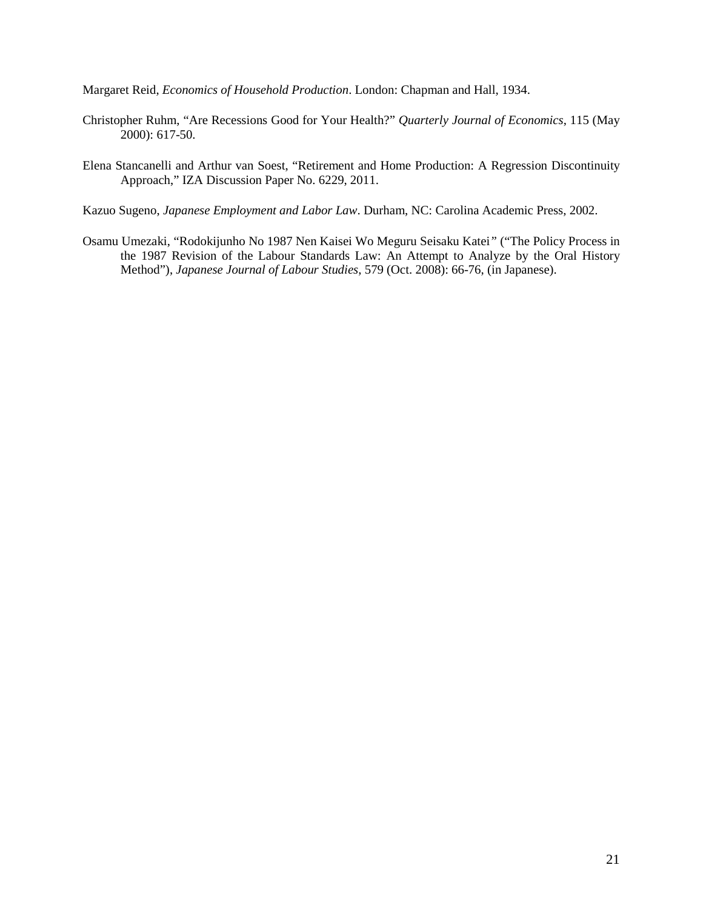Margaret Reid, *Economics of Household Production*. London: Chapman and Hall, 1934.

- Christopher Ruhm, "Are Recessions Good for Your Health?" *Quarterly Journal of Economics*, 115 (May 2000): 617-50.
- Elena Stancanelli and Arthur van Soest, "Retirement and Home Production: A Regression Discontinuity Approach," IZA Discussion Paper No. 6229, 2011.
- Kazuo Sugeno, *Japanese Employment and Labor Law*. Durham, NC: Carolina Academic Press, 2002.
- Osamu Umezaki, "Rodokijunho No 1987 Nen Kaisei Wo Meguru Seisaku Katei*"* ("The Policy Process in the 1987 Revision of the Labour Standards Law: An Attempt to Analyze by the Oral History Method"), *Japanese Journal of Labour Studies*, 579 (Oct. 2008): 66-76, (in Japanese).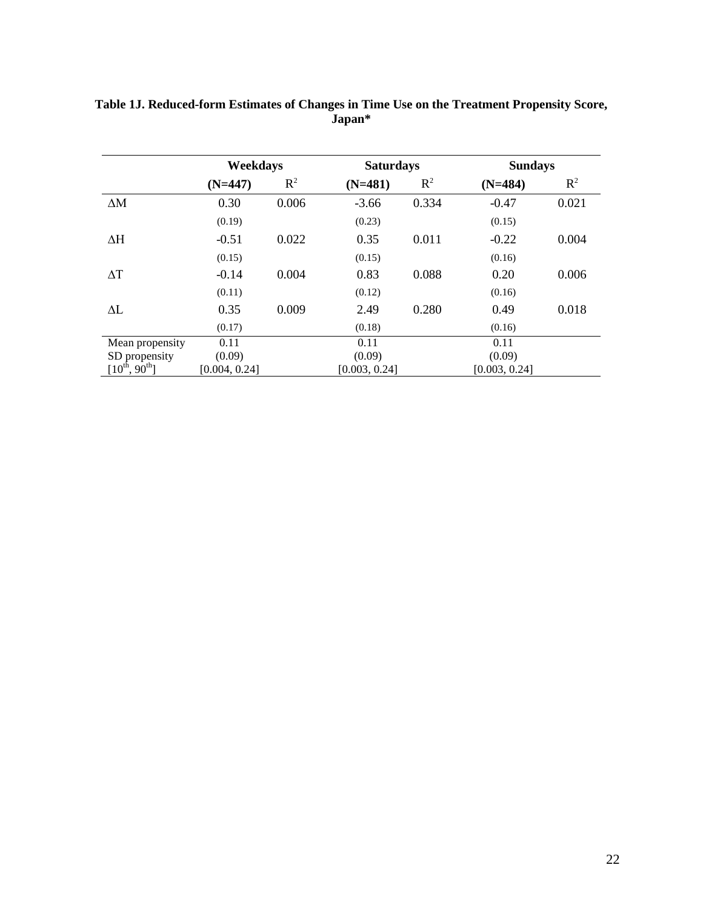|                      | Weekdays      |       | <b>Saturdays</b> |       | <b>Sundays</b> |       |
|----------------------|---------------|-------|------------------|-------|----------------|-------|
|                      | $(N=447)$     | $R^2$ | $(N=481)$        | $R^2$ | $(N=484)$      | $R^2$ |
| $\Delta M$           | 0.30          | 0.006 | $-3.66$          | 0.334 | $-0.47$        | 0.021 |
|                      | (0.19)        |       | (0.23)           |       | (0.15)         |       |
| $\Delta H$           | $-0.51$       | 0.022 | 0.35             | 0.011 | $-0.22$        | 0.004 |
|                      | (0.15)        |       | (0.15)           |       | (0.16)         |       |
| $\Delta T$           | $-0.14$       | 0.004 | 0.83             | 0.088 | 0.20           | 0.006 |
|                      | (0.11)        |       | (0.12)           |       | (0.16)         |       |
| $\Delta L$           | 0.35          | 0.009 | 2.49             | 0.280 | 0.49           | 0.018 |
|                      | (0.17)        |       | (0.18)           |       | (0.16)         |       |
| Mean propensity      | 0.11          |       | 0.11             |       | 0.11           |       |
| SD propensity        | (0.09)        |       | (0.09)           |       | (0.09)         |       |
| $[10^{th}, 90^{th}]$ | [0.004, 0.24] |       | [0.003, 0.24]    |       | [0.003, 0.24]  |       |

# **Table 1J. Reduced-form Estimates of Changes in Time Use on the Treatment Propensity Score, Japan\***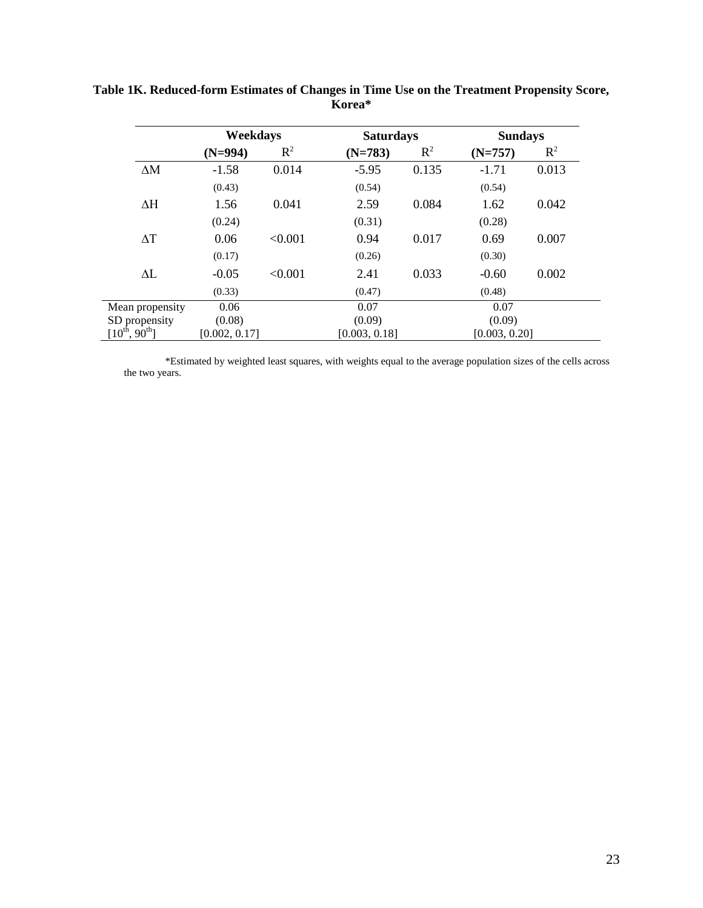|                                   | Weekdays      |         | <b>Saturdays</b> |       | <b>Sundays</b> |       |
|-----------------------------------|---------------|---------|------------------|-------|----------------|-------|
|                                   | $(N=994)$     | $R^2$   | $(N=783)$        | $R^2$ | $(N=757)$      | $R^2$ |
| $\Delta M$                        | $-1.58$       | 0.014   | $-5.95$          | 0.135 | $-1.71$        | 0.013 |
|                                   | (0.43)        |         | (0.54)           |       | (0.54)         |       |
| $\Delta H$                        | 1.56          | 0.041   | 2.59             | 0.084 | 1.62           | 0.042 |
|                                   | (0.24)        |         | (0.31)           |       | (0.28)         |       |
| $\Delta T$                        | 0.06          | < 0.001 | 0.94             | 0.017 | 0.69           | 0.007 |
|                                   | (0.17)        |         | (0.26)           |       | (0.30)         |       |
| $\Delta L$                        | $-0.05$       | < 0.001 | 2.41             | 0.033 | $-0.60$        | 0.002 |
|                                   | (0.33)        |         | (0.47)           |       | (0.48)         |       |
| Mean propensity                   | 0.06          |         | 0.07             |       | 0.07           |       |
| SD propensity                     | (0.08)        |         | (0.09)           |       | (0.09)         |       |
| [ $10^{\rm th}$ , $90^{\rm th}$ ] | [0.002, 0.17] |         | [0.003, 0.18]    |       | [0.003, 0.20]  |       |

**Table 1K. Reduced-form Estimates of Changes in Time Use on the Treatment Propensity Score, Korea\***

\*Estimated by weighted least squares, with weights equal to the average population sizes of the cells across the two years.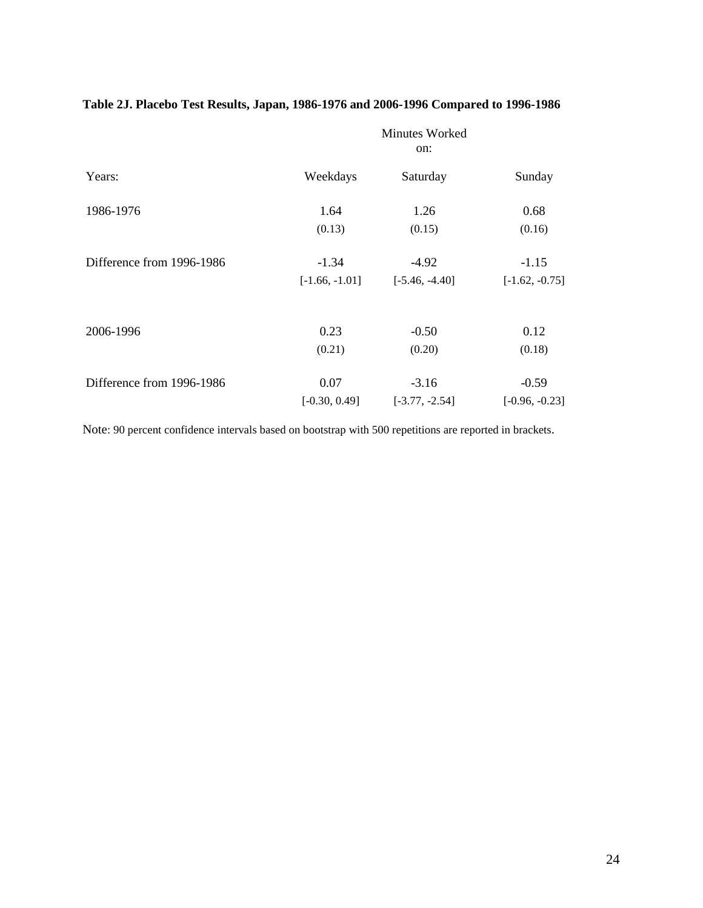# **Table 2J. Placebo Test Results, Japan, 1986-1976 and 2006-1996 Compared to 1996-1986**

|                           | Minutes Worked<br>on: |                  |                  |  |
|---------------------------|-----------------------|------------------|------------------|--|
| Years:                    | Weekdays              | Saturday         | Sunday           |  |
| 1986-1976                 | 1.64                  | 1.26             | 0.68             |  |
|                           | (0.13)                | (0.15)           | (0.16)           |  |
| Difference from 1996-1986 | $-1.34$               | $-4.92$          | $-1.15$          |  |
|                           | $[-1.66, -1.01]$      | $[-5.46, -4.40]$ | $[-1.62, -0.75]$ |  |
|                           |                       |                  |                  |  |
| 2006-1996                 | 0.23                  | $-0.50$          | 0.12             |  |
|                           | (0.21)                | (0.20)           | (0.18)           |  |
| Difference from 1996-1986 | 0.07                  | $-3.16$          | $-0.59$          |  |
|                           | $[-0.30, 0.49]$       | $[-3.77, -2.54]$ | $[-0.96, -0.23]$ |  |

Note: 90 percent confidence intervals based on bootstrap with 500 repetitions are reported in brackets.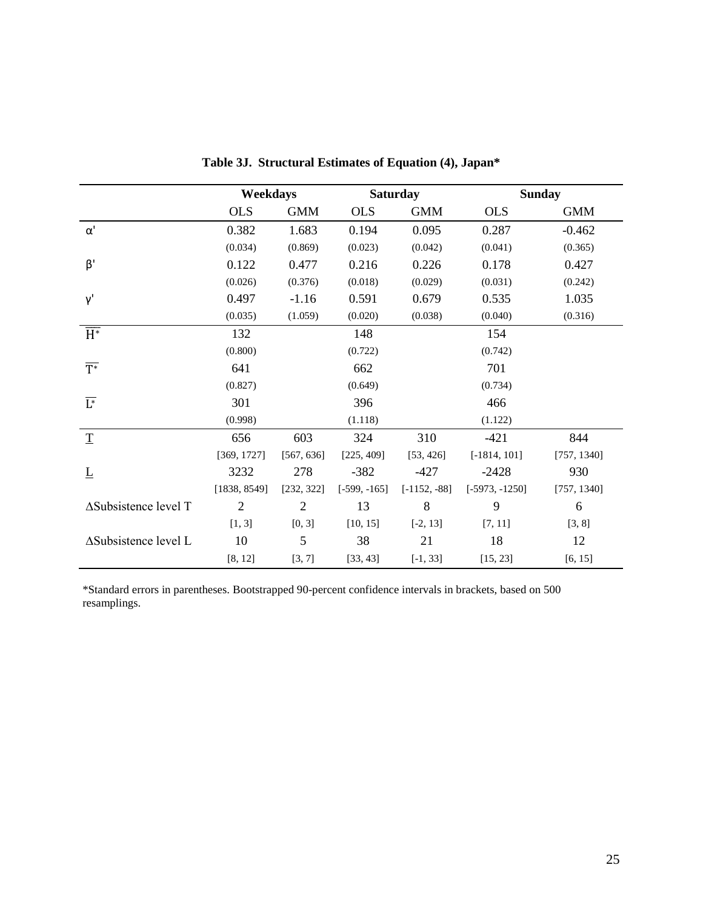|                              | Weekdays       |                |                | <b>Saturday</b> |                  | <b>Sunday</b> |
|------------------------------|----------------|----------------|----------------|-----------------|------------------|---------------|
|                              | <b>OLS</b>     | <b>GMM</b>     | <b>OLS</b>     | <b>GMM</b>      | <b>OLS</b>       | <b>GMM</b>    |
| $\alpha'$                    | 0.382          | 1.683          | 0.194          | 0.095           | 0.287            | $-0.462$      |
|                              | (0.034)        | (0.869)        | (0.023)        | (0.042)         | (0.041)          | (0.365)       |
| $\beta'$                     | 0.122          | 0.477          | 0.216          | 0.226           | 0.178            | 0.427         |
|                              | (0.026)        | (0.376)        | (0.018)        | (0.029)         | (0.031)          | (0.242)       |
| Y'                           | 0.497          | $-1.16$        | 0.591          | 0.679           | 0.535            | 1.035         |
|                              | (0.035)        | (1.059)        | (0.020)        | (0.038)         | (0.040)          | (0.316)       |
| $\overline{H^*}$             | 132            |                | 148            |                 | 154              |               |
|                              | (0.800)        |                | (0.722)        |                 | (0.742)          |               |
| $\overline{T^*}$             | 641            |                | 662            |                 | 701              |               |
|                              | (0.827)        |                | (0.649)        |                 | (0.734)          |               |
| $\overline{L^*}$             | 301            |                | 396            |                 | 466              |               |
|                              | (0.998)        |                | (1.118)        |                 | (1.122)          |               |
| $\mathbf T$                  | 656            | 603            | 324            | 310             | $-421$           | 844           |
|                              | [369, 1727]    | [567, 636]     | [225, 409]     | [53, 426]       | $[-1814, 101]$   | [757, 1340]   |
| $\overline{\Gamma}$          | 3232           | 278            | $-382$         | $-427$          | $-2428$          | 930           |
|                              | [1838, 8549]   | [232, 322]     | $[-599, -165]$ | $[-1152, -88]$  | $[-5973, -1250]$ | [757, 1340]   |
| $\Delta$ Subsistence level T | $\overline{2}$ | $\overline{2}$ | 13             | 8               | 9                | 6             |
|                              | [1, 3]         | [0, 3]         | [10, 15]       | $[-2, 13]$      | [7, 11]          | [3, 8]        |
| $\Delta$ Subsistence level L | 10             | 5              | 38             | 21              | 18               | 12            |
|                              | [8, 12]        | [3, 7]         | [33, 43]       | $[-1, 33]$      | [15, 23]         | [6, 15]       |

**Table 3J. Structural Estimates of Equation (4), Japan\***

\*Standard errors in parentheses. Bootstrapped 90-percent confidence intervals in brackets, based on 500 resamplings.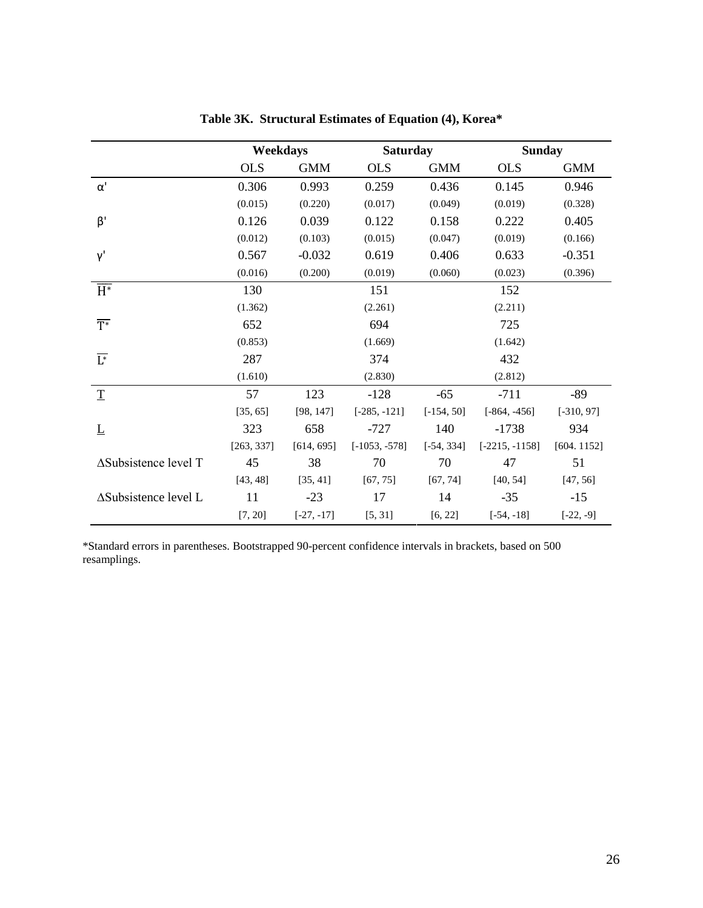|                              | Weekdays   |              | <b>Saturday</b> |              | <b>Sunday</b>    |              |
|------------------------------|------------|--------------|-----------------|--------------|------------------|--------------|
|                              | <b>OLS</b> | <b>GMM</b>   | <b>OLS</b>      | <b>GMM</b>   | <b>OLS</b>       | <b>GMM</b>   |
| $\alpha'$                    | 0.306      | 0.993        | 0.259           | 0.436        | 0.145            | 0.946        |
|                              | (0.015)    | (0.220)      | (0.017)         | (0.049)      | (0.019)          | (0.328)      |
| $\beta'$                     | 0.126      | 0.039        | 0.122           | 0.158        | 0.222            | 0.405        |
|                              | (0.012)    | (0.103)      | (0.015)         | (0.047)      | (0.019)          | (0.166)      |
| Y'                           | 0.567      | $-0.032$     | 0.619           | 0.406        | 0.633            | $-0.351$     |
|                              | (0.016)    | (0.200)      | (0.019)         | (0.060)      | (0.023)          | (0.396)      |
| $\overline{H^*}$             | 130        |              | 151             |              | 152              |              |
|                              | (1.362)    |              | (2.261)         |              | (2.211)          |              |
| $\overline{T}^*$             | 652        |              | 694             |              | 725              |              |
|                              | (0.853)    |              | (1.669)         |              | (1.642)          |              |
| $\overline{\mathsf{L}^*}$    | 287        |              | 374             |              | 432              |              |
|                              | (1.610)    |              | (2.830)         |              | (2.812)          |              |
| $\underline{\mathbf{T}}$     | 57         | 123          | $-128$          | $-65$        | $-711$           | $-89$        |
|                              | [35, 65]   | [98, 147]    | $[-285, -121]$  | $[-154, 50]$ | $[-864, -456]$   | $[-310, 97]$ |
| $\underline{L}$              | 323        | 658          | $-727$          | 140          | $-1738$          | 934          |
|                              | [263, 337] | [614, 695]   | $[-1053, -578]$ | $[-54, 334]$ | $[-2215, -1158]$ | [604.1152]   |
| $\Delta$ Subsistence level T | 45         | 38           | 70              | 70           | 47               | 51           |
|                              | [43, 48]   | [35, 41]     | [67, 75]        | [67, 74]     | [40, 54]         | [47, 56]     |
| $\Delta$ Subsistence level L | 11         | $-23$        | 17              | 14           | $-35$            | $-15$        |
|                              | [7, 20]    | $[-27, -17]$ | [5, 31]         | [6, 22]      | $[-54, -18]$     | $[-22, -9]$  |

**Table 3K. Structural Estimates of Equation (4), Korea\***

\*Standard errors in parentheses. Bootstrapped 90-percent confidence intervals in brackets, based on 500 resamplings.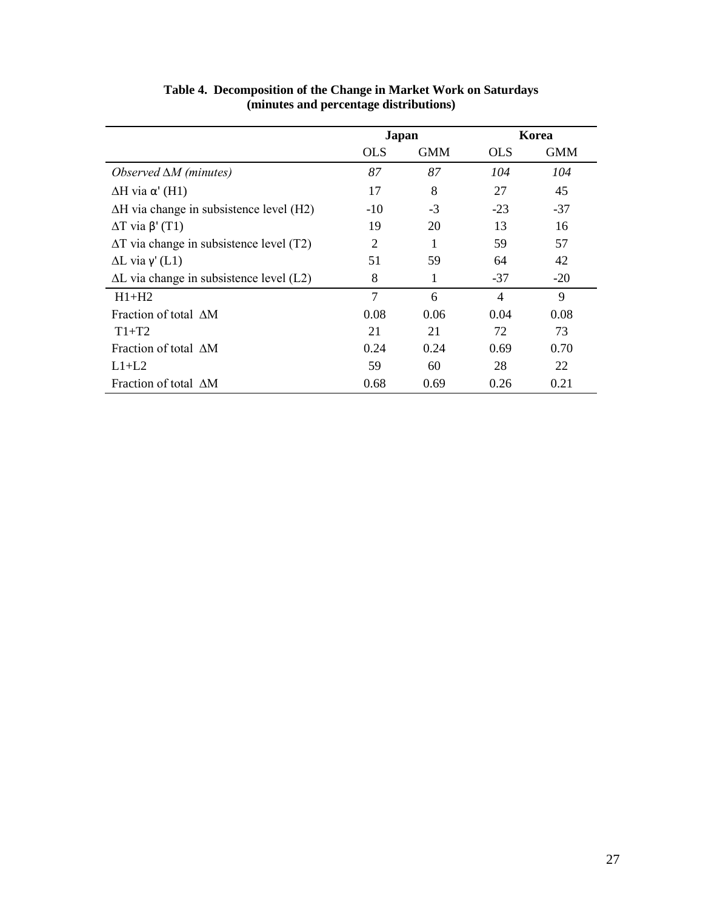|                                                 | <b>Japan</b> |            |                | Korea      |
|-------------------------------------------------|--------------|------------|----------------|------------|
|                                                 | <b>OLS</b>   | <b>GMM</b> | <b>OLS</b>     | <b>GMM</b> |
| Observed $\Delta M$ (minutes)                   | 87           | 87         | 104            | 104        |
| $\Delta H$ via $\alpha'$ (H1)                   | 17           | 8          | 27             | 45         |
| $\Delta H$ via change in subsistence level (H2) | $-10$        | $-3$       | $-23$          | $-37$      |
| $\Delta T$ via $\beta'$ (T1)                    | 19           | 20         | 13             | 16         |
| $\Delta T$ via change in subsistence level (T2) | 2            |            | 59             | 57         |
| $\Delta L$ via $\gamma$ <sup>'</sup> (L1)       | 51           | 59         | 64             | 42         |
| $\Delta L$ via change in subsistence level (L2) | 8            | 1          | $-37$          | $-20$      |
| $H1+H2$                                         | $\tau$       | 6          | $\overline{4}$ | 9          |
| Fraction of total AM                            | 0.08         | 0.06       | 0.04           | 0.08       |
| $T1+T2$                                         | 21           | 21         | 72             | 73         |
| Fraction of total AM                            | 0.24         | 0.24       | 0.69           | 0.70       |
| $L1+L2$                                         | 59           | 60         | 28             | 22         |
| Fraction of total AM                            | 0.68         | 0.69       | 0.26           | 0.21       |

**Table 4. Decomposition of the Change in Market Work on Saturdays (minutes and percentage distributions)**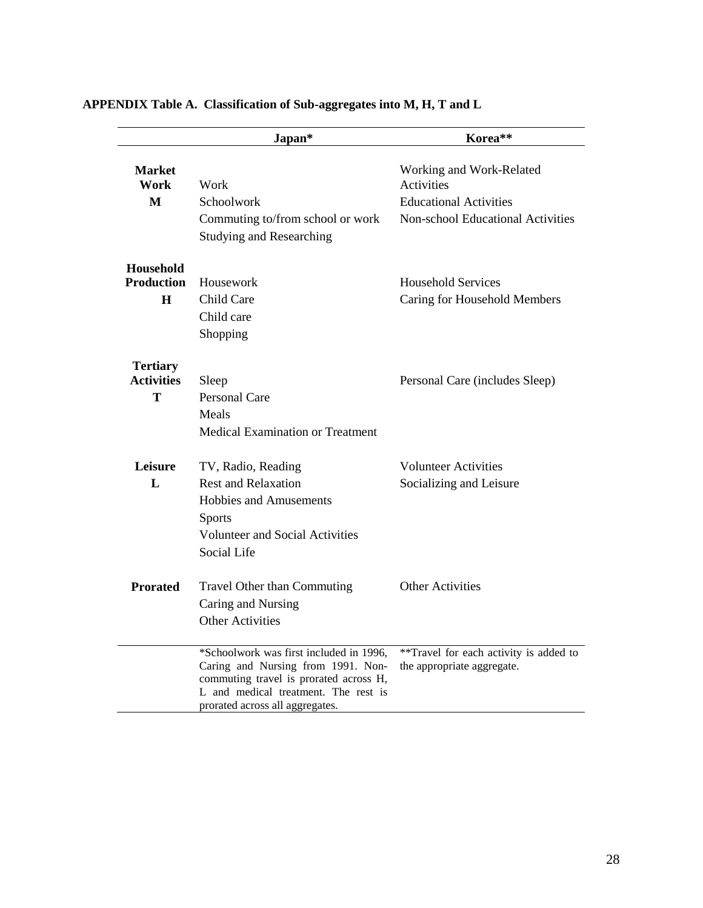|                   | Japan*                                                                         | Korea**                                  |
|-------------------|--------------------------------------------------------------------------------|------------------------------------------|
| Market<br>Work    | Work                                                                           | Working and Work-Related<br>Activities   |
| M                 | Schoolwork                                                                     | <b>Educational Activities</b>            |
|                   | Commuting to/from school or work                                               | <b>Non-school Educational Activities</b> |
|                   | <b>Studying and Researching</b>                                                |                                          |
| Household         |                                                                                |                                          |
| <b>Production</b> | Housework                                                                      | <b>Household Services</b>                |
| H                 | Child Care                                                                     | Caring for Household Members             |
|                   | Child care                                                                     |                                          |
|                   | Shopping                                                                       |                                          |
| <b>Tertiary</b>   |                                                                                |                                          |
| <b>Activities</b> | Sleep                                                                          | Personal Care (includes Sleep)           |
| T                 | <b>Personal Care</b>                                                           |                                          |
|                   | Meals                                                                          |                                          |
|                   | <b>Medical Examination or Treatment</b>                                        |                                          |
| Leisure           | TV, Radio, Reading                                                             | <b>Volunteer Activities</b>              |
| L                 | <b>Rest and Relaxation</b>                                                     | Socializing and Leisure                  |
|                   | Hobbies and Amusements                                                         |                                          |
|                   | <b>Sports</b>                                                                  |                                          |
|                   | <b>Volunteer and Social Activities</b>                                         |                                          |
|                   | Social Life                                                                    |                                          |
| <b>Prorated</b>   | Travel Other than Commuting                                                    | <b>Other Activities</b>                  |
|                   | Caring and Nursing                                                             |                                          |
|                   | <b>Other Activities</b>                                                        |                                          |
|                   | *Schoolwork was first included in 1996,                                        | **Travel for each activity is added to   |
|                   | Caring and Nursing from 1991. Non-                                             | the appropriate aggregate.               |
|                   | commuting travel is prorated across H,<br>L and medical treatment. The rest is |                                          |
|                   | prorated across all aggregates.                                                |                                          |

# **APPENDIX Table A. Classification of Sub-aggregates into M, H, T and L**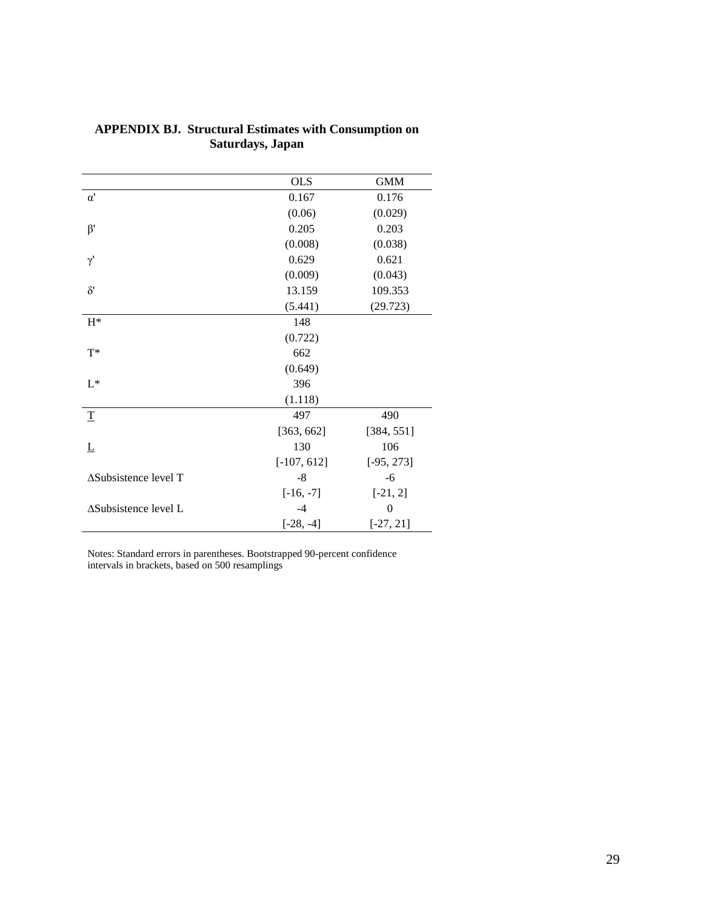|                      | <b>OLS</b>    | <b>GMM</b>     |
|----------------------|---------------|----------------|
| $\alpha'$            | 0.167         | 0.176          |
|                      | (0.06)        | (0.029)        |
| $\beta'$             | 0.205         | 0.203          |
|                      | (0.008)       | (0.038)        |
| $\gamma'$            | 0.629         | 0.621          |
|                      | (0.009)       | (0.043)        |
| $\delta'$            | 13.159        | 109.353        |
|                      | (5.441)       | (29.723)       |
| $H^*$                | 148           |                |
|                      | (0.722)       |                |
| $T^*$                | 662           |                |
|                      | (0.649)       |                |
| $L^*$                | 396           |                |
|                      | (1.118)       |                |
| $\mathbf T$          | 497           | 490            |
|                      | [363, 662]    | [384, 551]     |
| L                    | 130           | 106            |
|                      | $[-107, 612]$ | $[-95, 273]$   |
| ∆Subsistence level T | $-8$          | $-6$           |
|                      | $[-16, -7]$   | $[-21, 2]$     |
| ∆Subsistence level L | $-4$          | $\overline{0}$ |
|                      | $[-28, -4]$   | $[-27, 21]$    |

# **APPENDIX BJ. Structural Estimates with Consumption on Saturdays, Japan**

Notes: Standard errors in parentheses. Bootstrapped 90-percent confidence intervals in brackets, based on 500 resamplings